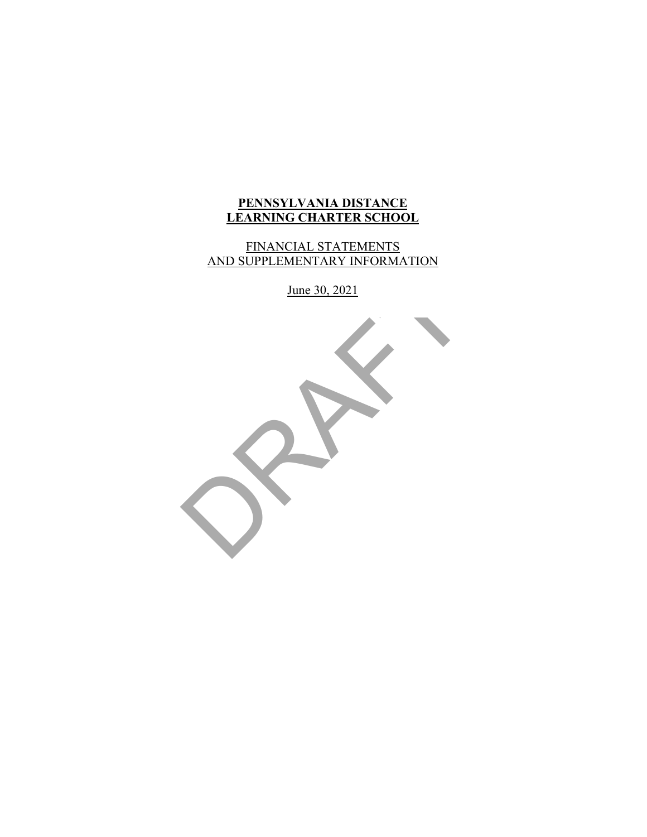FINANCIAL STATEMENTS AND SUPPLEMENTARY INFORMATION

June 30, 2021

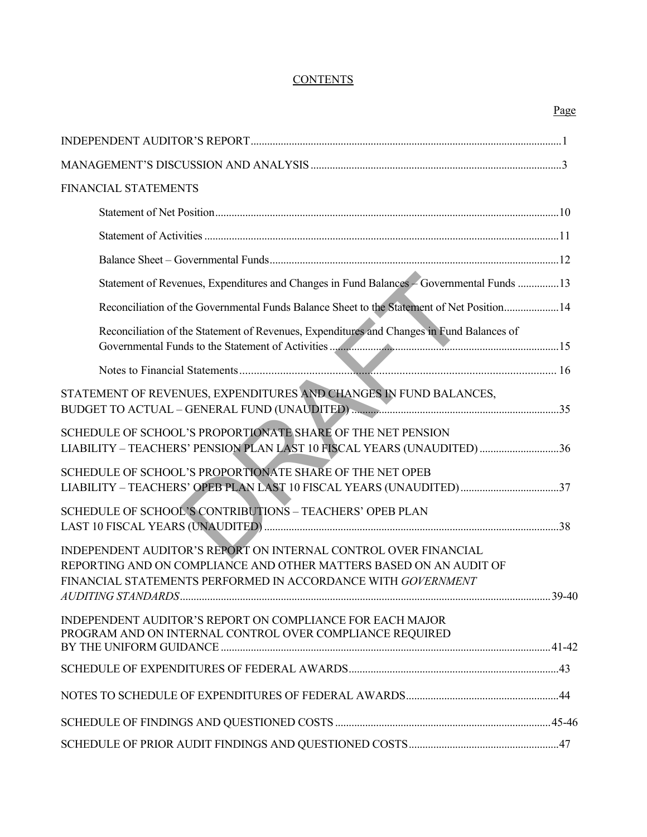# **CONTENTS**

| FINANCIAL STATEMENTS                                                                                                                                                                                  |  |
|-------------------------------------------------------------------------------------------------------------------------------------------------------------------------------------------------------|--|
|                                                                                                                                                                                                       |  |
|                                                                                                                                                                                                       |  |
|                                                                                                                                                                                                       |  |
| Statement of Revenues, Expenditures and Changes in Fund Balances - Governmental Funds 13                                                                                                              |  |
| Reconciliation of the Governmental Funds Balance Sheet to the Statement of Net Position 14                                                                                                            |  |
| Reconciliation of the Statement of Revenues, Expenditures and Changes in Fund Balances of                                                                                                             |  |
|                                                                                                                                                                                                       |  |
| STATEMENT OF REVENUES, EXPENDITURES AND CHANGES IN FUND BALANCES,                                                                                                                                     |  |
| SCHEDULE OF SCHOOL'S PROPORTIONATE SHARE OF THE NET PENSION<br>LIABILITY - TEACHERS' PENSION PLAN LAST 10 FISCAL YEARS (UNAUDITED) 36                                                                 |  |
| SCHEDULE OF SCHOOL'S PROPORTIONATE SHARE OF THE NET OPEB<br>LIABILITY - TEACHERS' OPEB PLAN LAST 10 FISCAL YEARS (UNAUDITED)37                                                                        |  |
| SCHEDULE OF SCHOOL'S CONTRIBUTIONS - TEACHERS' OPEB PLAN                                                                                                                                              |  |
| INDEPENDENT AUDITOR'S REPORT ON INTERNAL CONTROL OVER FINANCIAL<br>REPORTING AND ON COMPLIANCE AND OTHER MATTERS BASED ON AN AUDIT OF<br>FINANCIAL STATEMENTS PERFORMED IN ACCORDANCE WITH GOVERNMENT |  |
| INDEPENDENT AUDITOR'S REPORT ON COMPLIANCE FOR EACH MAJOR<br>PROGRAM AND ON INTERNAL CONTROL OVER COMPLIANCE REQUIRED                                                                                 |  |
|                                                                                                                                                                                                       |  |
|                                                                                                                                                                                                       |  |
|                                                                                                                                                                                                       |  |
|                                                                                                                                                                                                       |  |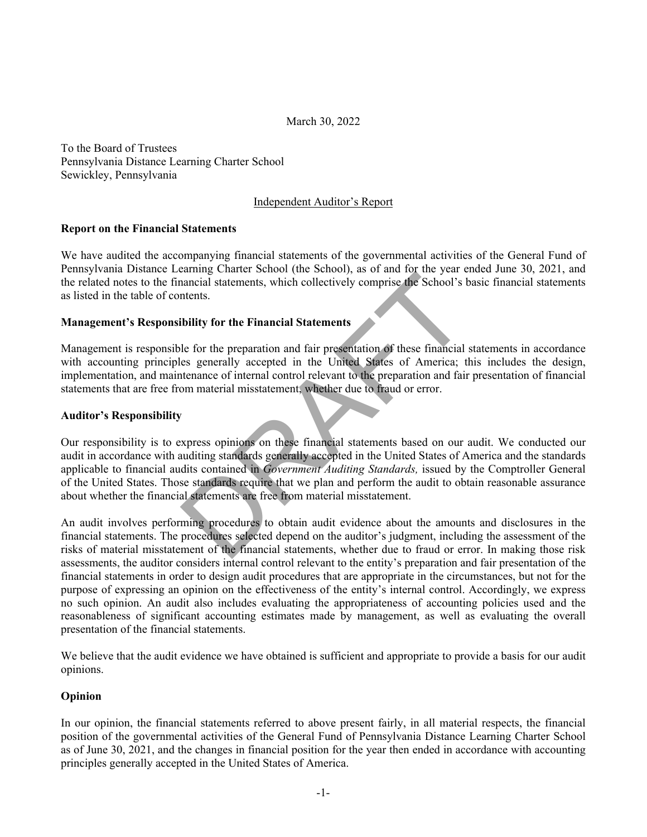#### March 30, 2022

To the Board of Trustees Pennsylvania Distance Learning Charter School Sewickley, Pennsylvania

#### Independent Auditor's Report

#### **Report on the Financial Statements**

We have audited the accompanying financial statements of the governmental activities of the General Fund of Pennsylvania Distance Learning Charter School (the School), as of and for the year ended June 30, 2021, and the related notes to the financial statements, which collectively comprise the School's basic financial statements as listed in the table of contents.

#### **Management's Responsibility for the Financial Statements**

Management is responsible for the preparation and fair presentation of these financial statements in accordance with accounting principles generally accepted in the United States of America; this includes the design, implementation, and maintenance of internal control relevant to the preparation and fair presentation of financial statements that are free from material misstatement, whether due to fraud or error.

#### **Auditor's Responsibility**

Containing material statements, which collectively comprise the School's and an ancial statements, which collectively comprise the School's is then the United States of America; the sense of internal control relevant to th Our responsibility is to express opinions on these financial statements based on our audit. We conducted our audit in accordance with auditing standards generally accepted in the United States of America and the standards applicable to financial audits contained in *Government Auditing Standards,* issued by the Comptroller General of the United States. Those standards require that we plan and perform the audit to obtain reasonable assurance about whether the financial statements are free from material misstatement.

An audit involves performing procedures to obtain audit evidence about the amounts and disclosures in the financial statements. The procedures selected depend on the auditor's judgment, including the assessment of the risks of material misstatement of the financial statements, whether due to fraud or error. In making those risk assessments, the auditor considers internal control relevant to the entity's preparation and fair presentation of the financial statements in order to design audit procedures that are appropriate in the circumstances, but not for the purpose of expressing an opinion on the effectiveness of the entity's internal control. Accordingly, we express no such opinion. An audit also includes evaluating the appropriateness of accounting policies used and the reasonableness of significant accounting estimates made by management, as well as evaluating the overall presentation of the financial statements.

We believe that the audit evidence we have obtained is sufficient and appropriate to provide a basis for our audit opinions.

#### **Opinion**

In our opinion, the financial statements referred to above present fairly, in all material respects, the financial position of the governmental activities of the General Fund of Pennsylvania Distance Learning Charter School as of June 30, 2021, and the changes in financial position for the year then ended in accordance with accounting principles generally accepted in the United States of America.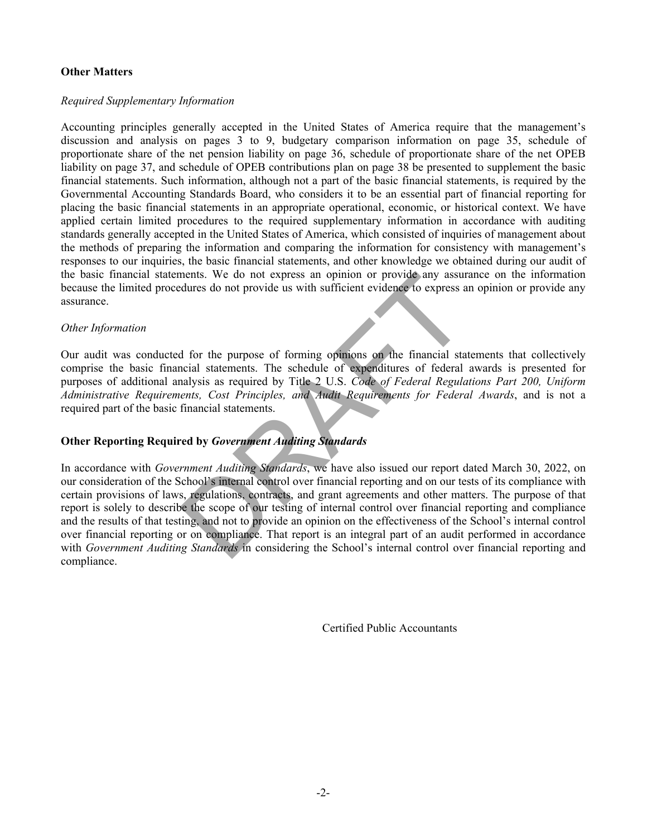#### **Other Matters**

#### *Required Supplementary Information*

Accounting principles generally accepted in the United States of America require that the management's discussion and analysis on pages 3 to 9, budgetary comparison information on page 35, schedule of proportionate share of the net pension liability on page 36, schedule of proportionate share of the net OPEB liability on page 37, and schedule of OPEB contributions plan on page 38 be presented to supplement the basic financial statements. Such information, although not a part of the basic financial statements, is required by the Governmental Accounting Standards Board, who considers it to be an essential part of financial reporting for placing the basic financial statements in an appropriate operational, economic, or historical context. We have applied certain limited procedures to the required supplementary information in accordance with auditing standards generally accepted in the United States of America, which consisted of inquiries of management about the methods of preparing the information and comparing the information for consistency with management's responses to our inquiries, the basic financial statements, and other knowledge we obtained during our audit of the basic financial statements. We do not express an opinion or provide any assurance on the information because the limited procedures do not provide us with sufficient evidence to express an opinion or provide any assurance.

#### *Other Information*

Our audit was conducted for the purpose of forming opinions on the financial statements that collectively comprise the basic financial statements. The schedule of expenditures of federal awards is presented for purposes of additional analysis as required by Title 2 U.S. *Code of Federal Regulations Part 200, Uniform Administrative Requirements, Cost Principles, and Audit Requirements for Federal Awards*, and is not a required part of the basic financial statements.

#### **Other Reporting Required by** *Government Auditing Standards*

ments. We do not express an opinion or provide any assurdures do not provide us with sufficient evidence to express a<br>dures do not provide us with sufficient evidence to express a<br>reduction of the purpose of forming opinio In accordance with *Government Auditing Standards*, we have also issued our report dated March 30, 2022, on our consideration of the School's internal control over financial reporting and on our tests of its compliance with certain provisions of laws, regulations, contracts, and grant agreements and other matters. The purpose of that report is solely to describe the scope of our testing of internal control over financial reporting and compliance and the results of that testing, and not to provide an opinion on the effectiveness of the School's internal control over financial reporting or on compliance. That report is an integral part of an audit performed in accordance with *Government Auditing Standards* in considering the School's internal control over financial reporting and compliance.

Certified Public Accountants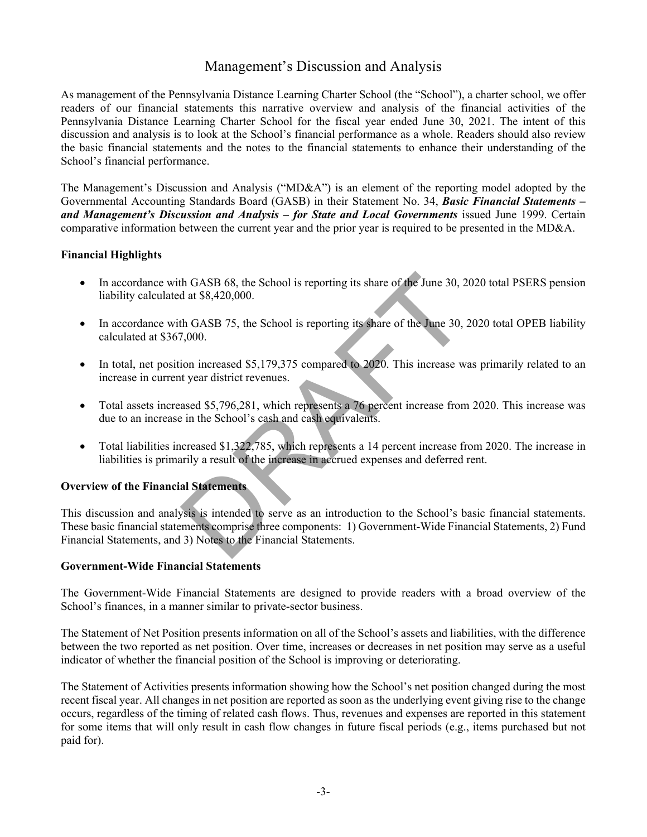# Management's Discussion and Analysis

As management of the Pennsylvania Distance Learning Charter School (the "School"), a charter school, we offer readers of our financial statements this narrative overview and analysis of the financial activities of the Pennsylvania Distance Learning Charter School for the fiscal year ended June 30, 2021. The intent of this discussion and analysis is to look at the School's financial performance as a whole. Readers should also review the basic financial statements and the notes to the financial statements to enhance their understanding of the School's financial performance.

The Management's Discussion and Analysis ("MD&A") is an element of the reporting model adopted by the Governmental Accounting Standards Board (GASB) in their Statement No. 34, *Basic Financial Statements – and Management's Discussion and Analysis – for State and Local Governments* issued June 1999. Certain comparative information between the current year and the prior year is required to be presented in the MD&A.

#### **Financial Highlights**

- In accordance with GASB 68, the School is reporting its share of the June 30, 2020 total PSERS pension liability calculated at \$8,420,000.
- In accordance with GASB 75, the School is reporting its share of the June 30, 2020 total OPEB liability calculated at \$367,000.
- In total, net position increased \$5,179,375 compared to 2020. This increase was primarily related to an increase in current year district revenues.
- Total assets increased \$5,796,281, which represents a 76 percent increase from 2020. This increase was due to an increase in the School's cash and cash equivalents.
- Total liabilities increased \$1,322,785, which represents a 14 percent increase from 2020. The increase in liabilities is primarily a result of the increase in accrued expenses and deferred rent.

# **Overview of the Financial Statements**

th GASB 68, the School is reporting its share of the June 30, 2<br>d at \$8,420,000.<br>th GASB 75, the School is reporting its share of the June 30, 7,000.<br>ion increased \$5,179,375 compared to 2020. This increase was<br>tyear distr This discussion and analysis is intended to serve as an introduction to the School's basic financial statements. These basic financial statements comprise three components: 1) Government-Wide Financial Statements, 2) Fund Financial Statements, and 3) Notes to the Financial Statements.

#### **Government-Wide Financial Statements**

The Government-Wide Financial Statements are designed to provide readers with a broad overview of the School's finances, in a manner similar to private-sector business.

The Statement of Net Position presents information on all of the School's assets and liabilities, with the difference between the two reported as net position. Over time, increases or decreases in net position may serve as a useful indicator of whether the financial position of the School is improving or deteriorating.

The Statement of Activities presents information showing how the School's net position changed during the most recent fiscal year. All changes in net position are reported as soon as the underlying event giving rise to the change occurs, regardless of the timing of related cash flows. Thus, revenues and expenses are reported in this statement for some items that will only result in cash flow changes in future fiscal periods (e.g., items purchased but not paid for).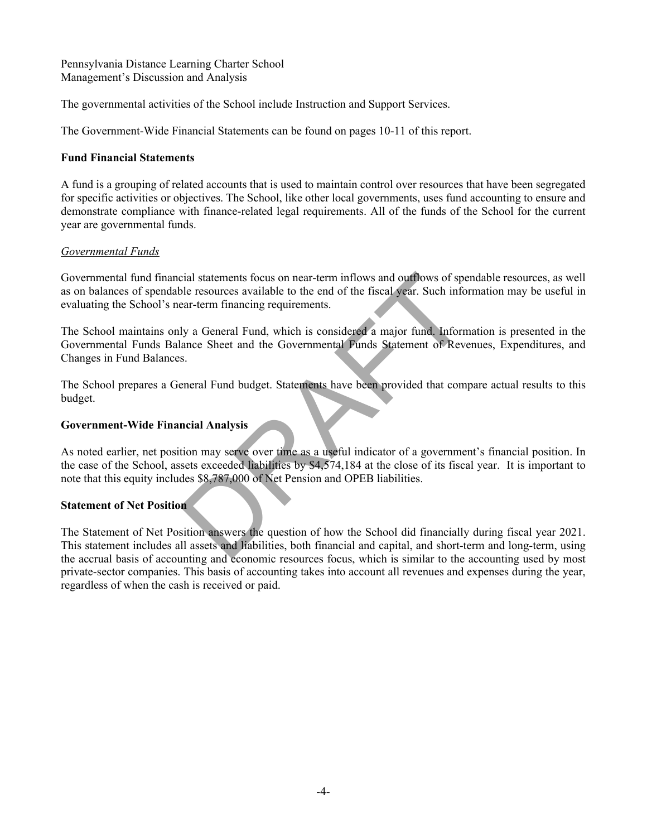The governmental activities of the School include Instruction and Support Services.

The Government-Wide Financial Statements can be found on pages 10-11 of this report.

#### **Fund Financial Statements**

A fund is a grouping of related accounts that is used to maintain control over resources that have been segregated for specific activities or objectives. The School, like other local governments, uses fund accounting to ensure and demonstrate compliance with finance-related legal requirements. All of the funds of the School for the current year are governmental funds.

#### *Governmental Funds*

Governmental fund financial statements focus on near-term inflows and outflows of spendable resources, as well as on balances of spendable resources available to the end of the fiscal year. Such information may be useful in evaluating the School's near-term financing requirements.

cial statements focus on near-term inflows and outflows of spele resources available to the end of the fiscal year. Such info<br>ear-term financing requirements.<br>ly a General Fund, which is considered a major fund, Inform<br>anc The School maintains only a General Fund, which is considered a major fund. Information is presented in the Governmental Funds Balance Sheet and the Governmental Funds Statement of Revenues, Expenditures, and Changes in Fund Balances.

The School prepares a General Fund budget. Statements have been provided that compare actual results to this budget.

#### **Government-Wide Financial Analysis**

As noted earlier, net position may serve over time as a useful indicator of a government's financial position. In the case of the School, assets exceeded liabilities by \$4,574,184 at the close of its fiscal year. It is important to note that this equity includes \$8,787,000 of Net Pension and OPEB liabilities.

#### **Statement of Net Position**

The Statement of Net Position answers the question of how the School did financially during fiscal year 2021. This statement includes all assets and liabilities, both financial and capital, and short-term and long-term, using the accrual basis of accounting and economic resources focus, which is similar to the accounting used by most private-sector companies. This basis of accounting takes into account all revenues and expenses during the year, regardless of when the cash is received or paid.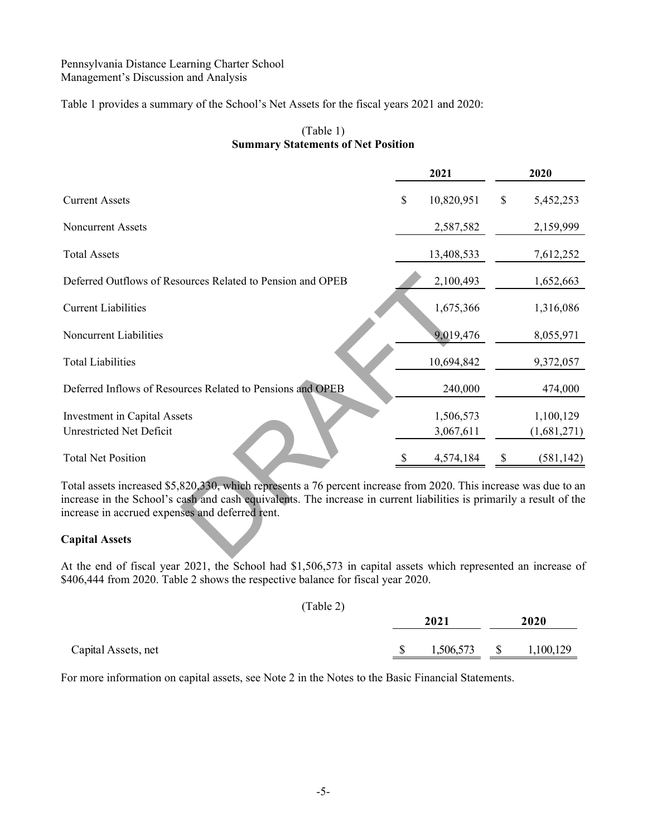Table 1 provides a summary of the School's Net Assets for the fiscal years 2021 and 2020:

#### (Table 1) **Summary Statements of Net Position**

|                                                                                                                                                                                                                                                                                                                       | 2021                   | 2020                     |
|-----------------------------------------------------------------------------------------------------------------------------------------------------------------------------------------------------------------------------------------------------------------------------------------------------------------------|------------------------|--------------------------|
| <b>Current Assets</b>                                                                                                                                                                                                                                                                                                 | \$<br>10,820,951       | \$<br>5,452,253          |
| <b>Noncurrent Assets</b>                                                                                                                                                                                                                                                                                              | 2,587,582              | 2,159,999                |
| <b>Total Assets</b>                                                                                                                                                                                                                                                                                                   | 13,408,533             | 7,612,252                |
| Deferred Outflows of Resources Related to Pension and OPEB                                                                                                                                                                                                                                                            | 2,100,493              | 1,652,663                |
| <b>Current Liabilities</b>                                                                                                                                                                                                                                                                                            | 1,675,366              | 1,316,086                |
| Noncurrent Liabilities                                                                                                                                                                                                                                                                                                | 9,019,476              | 8,055,971                |
| <b>Total Liabilities</b>                                                                                                                                                                                                                                                                                              | 10,694,842             | 9,372,057                |
| Deferred Inflows of Resources Related to Pensions and OPEB                                                                                                                                                                                                                                                            | 240,000                | 474,000                  |
| Investment in Capital Assets<br>Unrestricted Net Deficit                                                                                                                                                                                                                                                              | 1,506,573<br>3,067,611 | 1,100,129<br>(1,681,271) |
| <b>Total Net Position</b>                                                                                                                                                                                                                                                                                             | 4,574,184              | (581, 142)               |
| Total assets increased \$5,820,330, which represents a 76 percent increase from 2020. This increase was due to an<br>increase in the School's cash and cash equivalents. The increase in current liabilities is primarily a result of the<br>increase in accrued expenses and deferred rent.<br><b>Capital Assets</b> |                        |                          |

# **Capital Assets**

At the end of fiscal year 2021, the School had \$1,506,573 in capital assets which represented an increase of \$406,444 from 2020. Table 2 shows the respective balance for fiscal year 2020.

|                     | (Table 2) |           |                 |
|---------------------|-----------|-----------|-----------------|
|                     |           | 2021      | 2020            |
|                     |           |           |                 |
| Capital Assets, net |           | 1,506,573 | \$<br>1,100,129 |

For more information on capital assets, see Note 2 in the Notes to the Basic Financial Statements.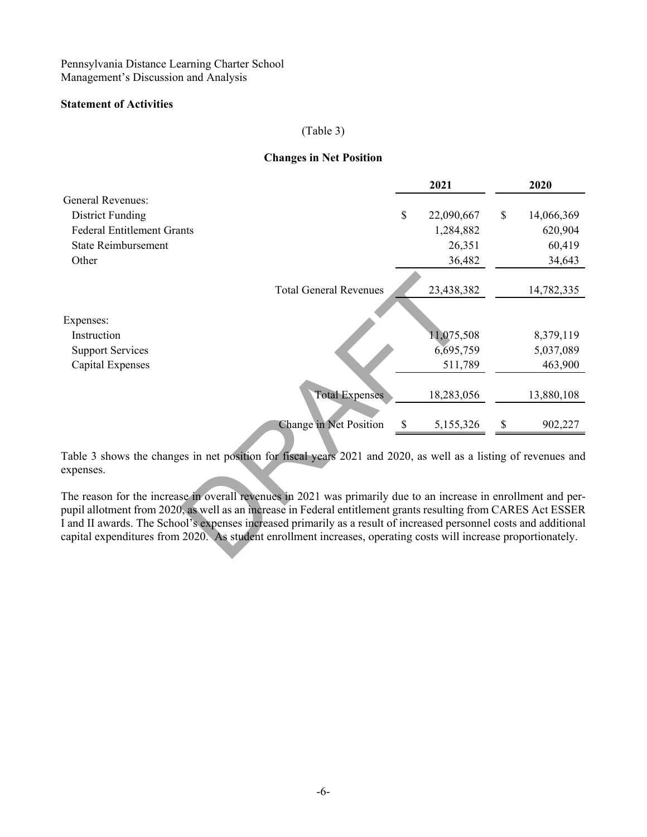#### **Statement of Activities**

#### (Table 3)

#### **Changes in Net Position**

|                                                                                                                                                                                                                                                                                                                                                                                                                                                                            |    | 2021       |    | 2020       |
|----------------------------------------------------------------------------------------------------------------------------------------------------------------------------------------------------------------------------------------------------------------------------------------------------------------------------------------------------------------------------------------------------------------------------------------------------------------------------|----|------------|----|------------|
| General Revenues:                                                                                                                                                                                                                                                                                                                                                                                                                                                          |    |            |    |            |
| <b>District Funding</b>                                                                                                                                                                                                                                                                                                                                                                                                                                                    | S  | 22,090,667 | \$ | 14,066,369 |
| <b>Federal Entitlement Grants</b>                                                                                                                                                                                                                                                                                                                                                                                                                                          |    | 1,284,882  |    | 620,904    |
| <b>State Reimbursement</b>                                                                                                                                                                                                                                                                                                                                                                                                                                                 |    | 26,351     |    | 60,419     |
| Other                                                                                                                                                                                                                                                                                                                                                                                                                                                                      |    | 36,482     |    | 34,643     |
|                                                                                                                                                                                                                                                                                                                                                                                                                                                                            |    |            |    |            |
| <b>Total General Revenues</b>                                                                                                                                                                                                                                                                                                                                                                                                                                              |    | 23,438,382 |    | 14,782,335 |
|                                                                                                                                                                                                                                                                                                                                                                                                                                                                            |    |            |    |            |
| Expenses:                                                                                                                                                                                                                                                                                                                                                                                                                                                                  |    |            |    |            |
| Instruction                                                                                                                                                                                                                                                                                                                                                                                                                                                                |    | 11,075,508 |    | 8,379,119  |
| <b>Support Services</b>                                                                                                                                                                                                                                                                                                                                                                                                                                                    |    | 6,695,759  |    | 5,037,089  |
| Capital Expenses                                                                                                                                                                                                                                                                                                                                                                                                                                                           |    | 511,789    |    | 463,900    |
| <b>Total Expenses</b>                                                                                                                                                                                                                                                                                                                                                                                                                                                      |    | 18,283,056 |    | 13,880,108 |
| Change in Net Position                                                                                                                                                                                                                                                                                                                                                                                                                                                     | \$ | 5,155,326  | S  | 902,227    |
|                                                                                                                                                                                                                                                                                                                                                                                                                                                                            |    |            |    |            |
| Table 3 shows the changes in net position for fiscal years 2021 and 2020, as well as a listing of revenues and<br>expenses.                                                                                                                                                                                                                                                                                                                                                |    |            |    |            |
| The reason for the increase in overall revenues in 2021 was primarily due to an increase in enrollment and per-<br>pupil allotment from 2020, as well as an increase in Federal entitlement grants resulting from CARES Act ESSER<br>I and II awards. The School's expenses increased primarily as a result of increased personnel costs and additional<br>capital expenditures from 2020. As student enrollment increases, operating costs will increase proportionately. |    |            |    |            |
|                                                                                                                                                                                                                                                                                                                                                                                                                                                                            |    |            |    |            |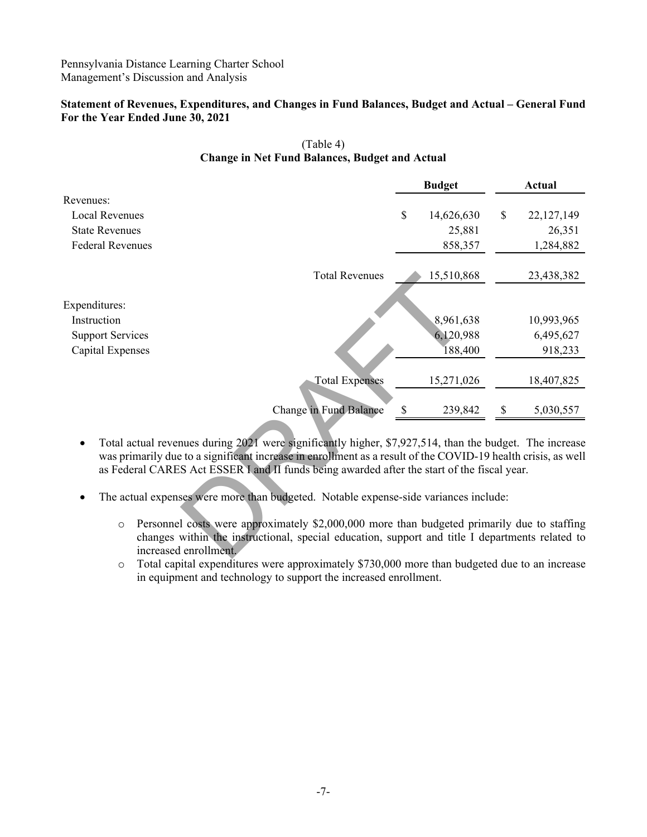#### **Statement of Revenues, Expenditures, and Changes in Fund Balances, Budget and Actual – General Fund For the Year Ended June 30, 2021**

|                                                                                                                                                                                                                                                                                                                            | <b>Budget</b>               | <b>Actual</b>              |
|----------------------------------------------------------------------------------------------------------------------------------------------------------------------------------------------------------------------------------------------------------------------------------------------------------------------------|-----------------------------|----------------------------|
| Revenues:                                                                                                                                                                                                                                                                                                                  |                             |                            |
| <b>Local Revenues</b>                                                                                                                                                                                                                                                                                                      | $\mathcal{S}$<br>14,626,630 | $\mathbb{S}$<br>22,127,149 |
| <b>State Revenues</b>                                                                                                                                                                                                                                                                                                      | 25,881                      | 26,351                     |
| <b>Federal Revenues</b>                                                                                                                                                                                                                                                                                                    | 858,357                     | 1,284,882                  |
| <b>Total Revenues</b>                                                                                                                                                                                                                                                                                                      | 15,510,868                  | 23,438,382                 |
| Expenditures:                                                                                                                                                                                                                                                                                                              |                             |                            |
| Instruction                                                                                                                                                                                                                                                                                                                | 8,961,638                   | 10,993,965                 |
| <b>Support Services</b>                                                                                                                                                                                                                                                                                                    | 6,120,988                   | 6,495,627                  |
| Capital Expenses                                                                                                                                                                                                                                                                                                           | 188,400                     | 918,233                    |
| <b>Total Expenses</b>                                                                                                                                                                                                                                                                                                      | 15,271,026                  | 18,407,825                 |
| Change in Fund Balance                                                                                                                                                                                                                                                                                                     | 239,842                     | 5,030,557                  |
| Total actual revenues during 2021 were significantly higher, \$7,927,514, than the budget. The increase<br>was primarily due to a significant increase in enrollment as a result of the COVID-19 health crisis, as well<br>as Federal CARES Act ESSER I and II funds being awarded after the start of the fiscal year.     |                             |                            |
| The actual expenses were more than budgeted. Notable expense-side variances include:<br>Personnel costs were approximately \$2,000,000 more than budgeted primarily due to staffing<br>$\circ$<br>changes within the instructional, special education, support and title I departments related to<br>increased enrollment. |                             |                            |

# (Table 4) **Change in Net Fund Balances, Budget and Actual**

- Total actual revenues during 2021 were significantly higher, \$7,927,514, than the budget. The increase was primarily due to a significant increase in enrollment as a result of the COVID-19 health crisis, as well as Federal CARES Act ESSER I and II funds being awarded after the start of the fiscal year.
- The actual expenses were more than budgeted. Notable expense-side variances include:
	- o Personnel costs were approximately \$2,000,000 more than budgeted primarily due to staffing changes within the instructional, special education, support and title I departments related to increased enrollment.
	- o Total capital expenditures were approximately \$730,000 more than budgeted due to an increase in equipment and technology to support the increased enrollment.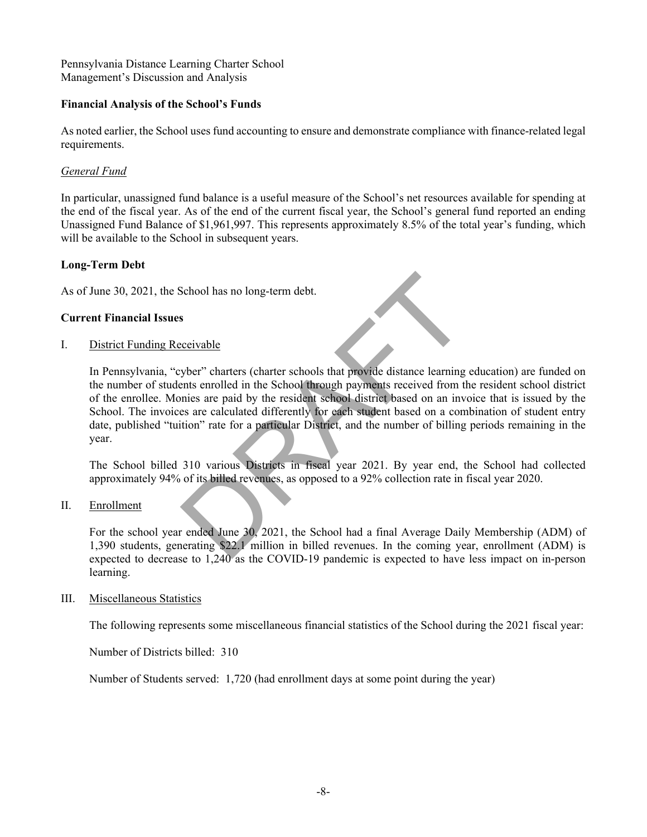#### **Financial Analysis of the School's Funds**

As noted earlier, the School uses fund accounting to ensure and demonstrate compliance with finance-related legal requirements.

#### *General Fund*

In particular, unassigned fund balance is a useful measure of the School's net resources available for spending at the end of the fiscal year. As of the end of the current fiscal year, the School's general fund reported an ending Unassigned Fund Balance of \$1,961,997. This represents approximately 8.5% of the total year's funding, which will be available to the School in subsequent years.

#### **Long-Term Debt**

As of June 30, 2021, the School has no long-term debt.

#### **Current Financial Issues**

I. District Funding Receivable

School has no long-term debt.<br>
Solonials and the section of the section of the section of the section of the section of the section of the section of the section of the section of the section of the section of the section In Pennsylvania, "cyber" charters (charter schools that provide distance learning education) are funded on the number of students enrolled in the School through payments received from the resident school district of the enrollee. Monies are paid by the resident school district based on an invoice that is issued by the School. The invoices are calculated differently for each student based on a combination of student entry date, published "tuition" rate for a particular District, and the number of billing periods remaining in the year.

The School billed 310 various Districts in fiscal year 2021. By year end, the School had collected approximately 94% of its billed revenues, as opposed to a 92% collection rate in fiscal year 2020.

II. Enrollment

For the school year ended June 30, 2021, the School had a final Average Daily Membership (ADM) of 1,390 students, generating \$22.1 million in billed revenues. In the coming year, enrollment (ADM) is expected to decrease to 1,240 as the COVID-19 pandemic is expected to have less impact on in-person learning.

#### III. Miscellaneous Statistics

The following represents some miscellaneous financial statistics of the School during the 2021 fiscal year:

Number of Districts billed: 310

Number of Students served: 1,720 (had enrollment days at some point during the year)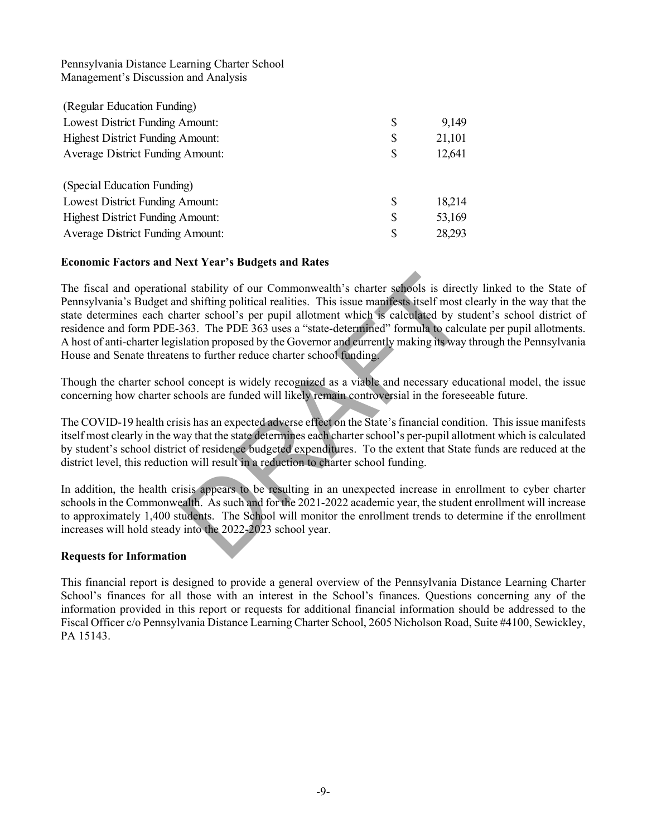| (Regular Education Funding)             |    |        |
|-----------------------------------------|----|--------|
| Lowest District Funding Amount:         | S  | 9,149  |
| <b>Highest District Funding Amount:</b> | \$ | 21,101 |
| Average District Funding Amount:        | \$ | 12,641 |
|                                         |    |        |
| (Special Education Funding)             |    |        |
| Lowest District Funding Amount:         | S  | 18,214 |
| <b>Highest District Funding Amount:</b> | S  | 53,169 |
| Average District Funding Amount:        | S  | 28,293 |

#### **Economic Factors and Next Year's Budgets and Rates**

al stability of our Commonwealth's charter schools is directed shifting political realities. This issue manifests itself most care<br>arter school's per pupil allotment which is calculated by studied<br>363. The PDE 363 uses a " The fiscal and operational stability of our Commonwealth's charter schools is directly linked to the State of Pennsylvania's Budget and shifting political realities. This issue manifests itself most clearly in the way that the state determines each charter school's per pupil allotment which is calculated by student's school district of residence and form PDE-363. The PDE 363 uses a "state-determined" formula to calculate per pupil allotments. A host of anti-charter legislation proposed by the Governor and currently making its way through the Pennsylvania House and Senate threatens to further reduce charter school funding.

Though the charter school concept is widely recognized as a viable and necessary educational model, the issue concerning how charter schools are funded will likely remain controversial in the foreseeable future.

The COVID-19 health crisis has an expected adverse effect on the State's financial condition. This issue manifests itself most clearly in the way that the state determines each charter school's per-pupil allotment which is calculated by student's school district of residence budgeted expenditures. To the extent that State funds are reduced at the district level, this reduction will result in a reduction to charter school funding.

In addition, the health crisis appears to be resulting in an unexpected increase in enrollment to cyber charter schools in the Commonwealth. As such and for the 2021-2022 academic year, the student enrollment will increase to approximately 1,400 students. The School will monitor the enrollment trends to determine if the enrollment increases will hold steady into the 2022-2023 school year.

#### **Requests for Information**

This financial report is designed to provide a general overview of the Pennsylvania Distance Learning Charter School's finances for all those with an interest in the School's finances. Questions concerning any of the information provided in this report or requests for additional financial information should be addressed to the Fiscal Officer c/o Pennsylvania Distance Learning Charter School, 2605 Nicholson Road, Suite #4100, Sewickley, PA 15143.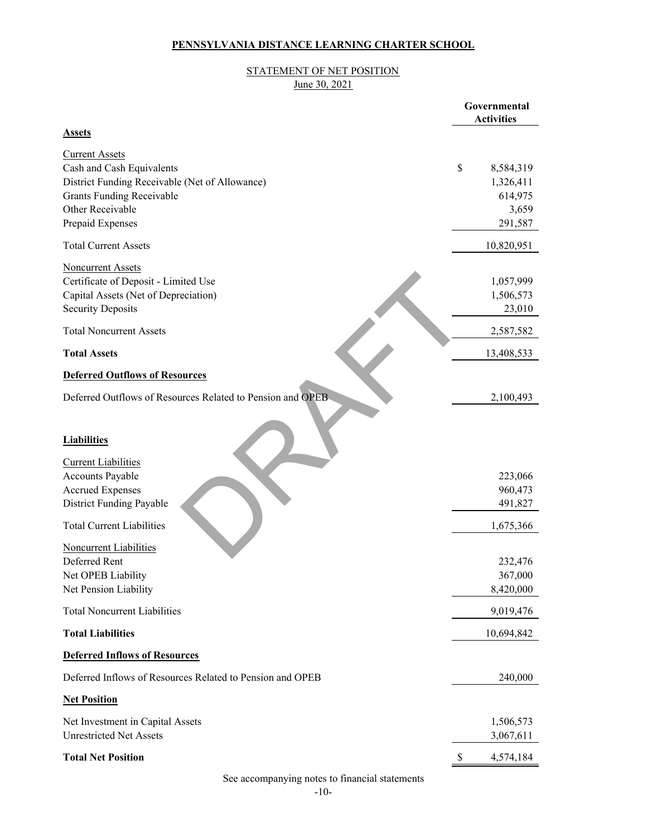#### STATEMENT OF NET POSITION June 30, 2021

|                                                                                                                                                                                  | Governmental<br><b>Activities</b> |                                                       |
|----------------------------------------------------------------------------------------------------------------------------------------------------------------------------------|-----------------------------------|-------------------------------------------------------|
| <b>Assets</b>                                                                                                                                                                    |                                   |                                                       |
| <b>Current Assets</b><br>Cash and Cash Equivalents<br>District Funding Receivable (Net of Allowance)<br><b>Grants Funding Receivable</b><br>Other Receivable<br>Prepaid Expenses | \$                                | 8,584,319<br>1,326,411<br>614,975<br>3,659<br>291,587 |
| <b>Total Current Assets</b>                                                                                                                                                      |                                   | 10,820,951                                            |
| <b>Noncurrent Assets</b><br>Certificate of Deposit - Limited Use<br>Capital Assets (Net of Depreciation)<br><b>Security Deposits</b>                                             |                                   | 1,057,999<br>1,506,573<br>23,010                      |
| <b>Total Noncurrent Assets</b>                                                                                                                                                   |                                   | 2,587,582                                             |
| <b>Total Assets</b>                                                                                                                                                              |                                   | 13,408,533                                            |
| <b>Deferred Outflows of Resources</b>                                                                                                                                            |                                   |                                                       |
| Deferred Outflows of Resources Related to Pension and OPEB                                                                                                                       |                                   | 2,100,493                                             |
| <b>Liabilities</b><br><b>Current Liabilities</b>                                                                                                                                 |                                   |                                                       |
| <b>Accounts Payable</b><br><b>Accrued Expenses</b><br><b>District Funding Payable</b>                                                                                            |                                   | 223,066<br>960,473<br>491,827                         |
| <b>Total Current Liabilities</b>                                                                                                                                                 |                                   | 1,675,366                                             |
| <b>Noncurrent Liabilities</b><br>Deferred Rent<br>Net OPEB Liability<br>Net Pension Liability                                                                                    |                                   | 232,476<br>367,000<br>8,420,000                       |
| <b>Total Noncurrent Liabilities</b>                                                                                                                                              |                                   | 9,019,476                                             |
| <b>Total Liabilities</b>                                                                                                                                                         |                                   | 10,694,842                                            |
| <b>Deferred Inflows of Resources</b>                                                                                                                                             |                                   |                                                       |
| Deferred Inflows of Resources Related to Pension and OPEB                                                                                                                        |                                   | 240,000                                               |
| <b>Net Position</b>                                                                                                                                                              |                                   |                                                       |
| Net Investment in Capital Assets<br><b>Unrestricted Net Assets</b>                                                                                                               |                                   | 1,506,573<br>3,067,611                                |
| <b>Total Net Position</b>                                                                                                                                                        | <sup>\$</sup>                     | 4,574,184                                             |

See accompanying notes to financial statements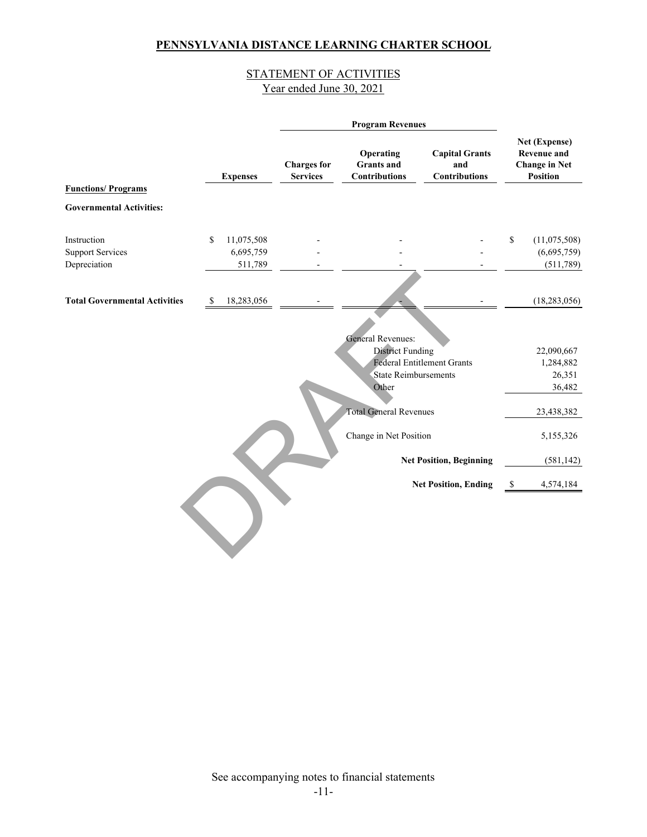# STATEMENT OF ACTIVITIES Year ended June 30, 2021

|                                                        |                                          |                                       | <b>Program Revenues</b>                                |                                                      |             |                                                                                |
|--------------------------------------------------------|------------------------------------------|---------------------------------------|--------------------------------------------------------|------------------------------------------------------|-------------|--------------------------------------------------------------------------------|
| <b>Functions/Programs</b>                              | <b>Expenses</b>                          | <b>Charges</b> for<br><b>Services</b> | Operating<br><b>Grants</b> and<br><b>Contributions</b> | <b>Capital Grants</b><br>and<br><b>Contributions</b> |             | Net (Expense)<br><b>Revenue and</b><br><b>Change in Net</b><br><b>Position</b> |
| <b>Governmental Activities:</b>                        |                                          |                                       |                                                        |                                                      |             |                                                                                |
|                                                        |                                          |                                       |                                                        |                                                      |             |                                                                                |
| Instruction<br><b>Support Services</b><br>Depreciation | \$<br>11,075,508<br>6,695,759<br>511,789 |                                       |                                                        |                                                      | \$          | (11,075,508)<br>(6,695,759)<br>(511,789)                                       |
|                                                        |                                          |                                       |                                                        |                                                      |             |                                                                                |
| <b>Total Governmental Activities</b>                   | \$<br>18,283,056                         |                                       |                                                        |                                                      |             | (18, 283, 056)                                                                 |
|                                                        |                                          |                                       | <b>General Revenues:</b>                               |                                                      |             |                                                                                |
|                                                        |                                          |                                       | <b>District Funding</b>                                |                                                      |             | 22,090,667                                                                     |
|                                                        |                                          |                                       |                                                        | <b>Federal Entitlement Grants</b>                    |             | 1,284,882                                                                      |
|                                                        |                                          |                                       | State Reimbursements                                   |                                                      |             | 26,351                                                                         |
|                                                        |                                          |                                       | Other                                                  |                                                      |             | 36,482                                                                         |
|                                                        |                                          |                                       | <b>Total General Revenues</b>                          |                                                      |             | 23,438,382                                                                     |
|                                                        |                                          |                                       | Change in Net Position                                 |                                                      |             | 5,155,326                                                                      |
|                                                        |                                          |                                       |                                                        | <b>Net Position, Beginning</b>                       |             | (581, 142)                                                                     |
|                                                        |                                          |                                       |                                                        | <b>Net Position, Ending</b>                          | $\mathbb S$ | 4,574,184                                                                      |
|                                                        |                                          |                                       |                                                        |                                                      |             |                                                                                |
|                                                        |                                          |                                       |                                                        |                                                      |             |                                                                                |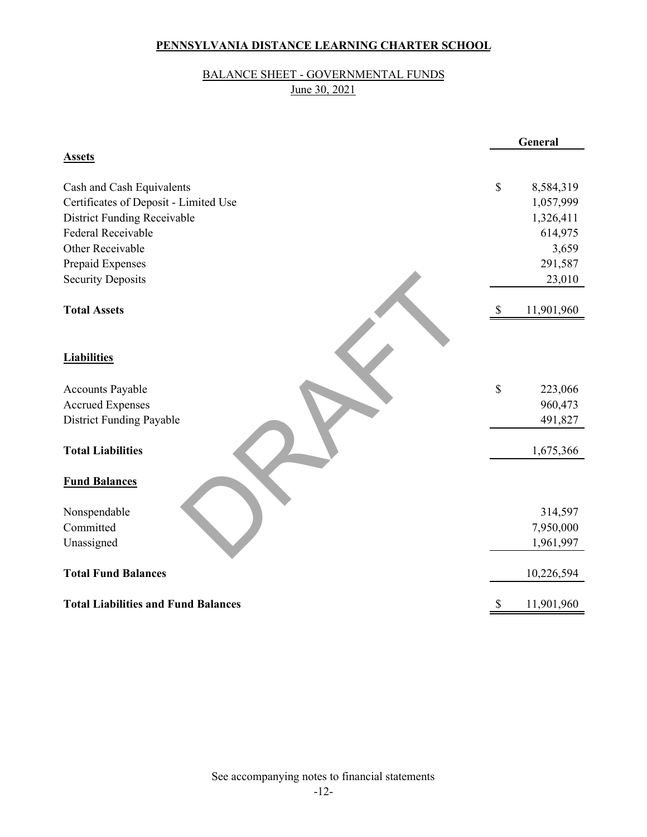# BALANCE SHEET - GOVERNMENTAL FUNDS June 30, 2021

|                                            |             | General    |
|--------------------------------------------|-------------|------------|
| <b>Assets</b>                              |             |            |
| Cash and Cash Equivalents                  | $\mathbb S$ | 8,584,319  |
| Certificates of Deposit - Limited Use      |             | 1,057,999  |
| <b>District Funding Receivable</b>         |             | 1,326,411  |
| Federal Receivable                         |             | 614,975    |
| Other Receivable                           |             | 3,659      |
| Prepaid Expenses                           |             | 291,587    |
| <b>Security Deposits</b>                   |             | 23,010     |
|                                            |             |            |
| <b>Total Assets</b>                        |             | 11,901,960 |
|                                            |             |            |
|                                            |             |            |
| <b>Liabilities</b>                         |             |            |
| <b>Accounts Payable</b>                    | \$          | 223,066    |
| <b>Accrued Expenses</b>                    |             | 960,473    |
| District Funding Payable                   |             | 491,827    |
|                                            |             |            |
| <b>Total Liabilities</b>                   |             | 1,675,366  |
|                                            |             |            |
| <b>Fund Balances</b>                       |             |            |
|                                            |             |            |
| Nonspendable                               |             | 314,597    |
| Committed                                  |             | 7,950,000  |
| Unassigned                                 |             | 1,961,997  |
| <b>Total Fund Balances</b>                 |             | 10,226,594 |
|                                            |             |            |
| <b>Total Liabilities and Fund Balances</b> | \$          | 11,901,960 |

See accompanying notes to financial statements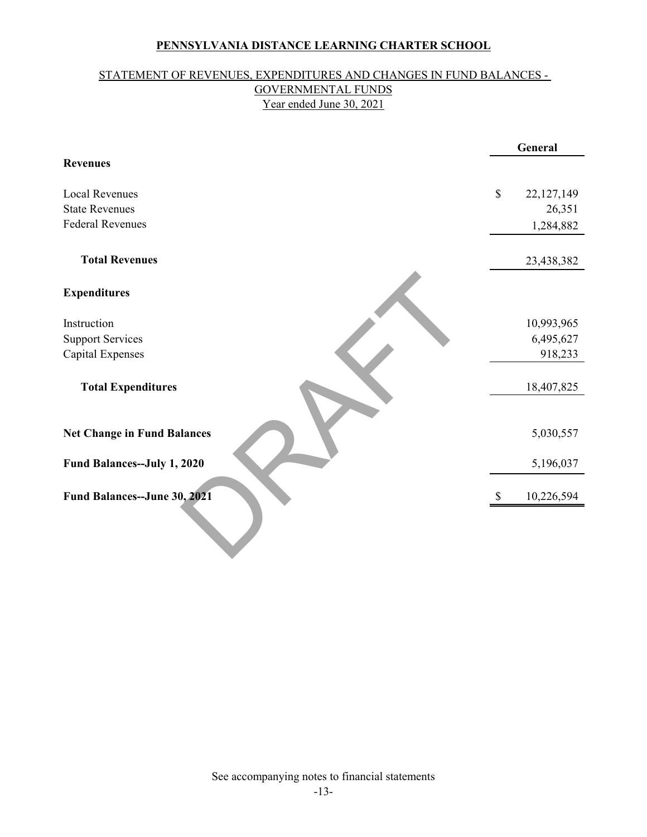# STATEMENT OF REVENUES, EXPENDITURES AND CHANGES IN FUND BALANCES - GOVERNMENTAL FUNDS Year ended June 30, 2021

|                                    |             | General    |
|------------------------------------|-------------|------------|
| <b>Revenues</b>                    |             |            |
| <b>Local Revenues</b>              | $\mathbb S$ | 22,127,149 |
| <b>State Revenues</b>              |             | 26,351     |
| <b>Federal Revenues</b>            |             | 1,284,882  |
| <b>Total Revenues</b>              |             | 23,438,382 |
| <b>Expenditures</b>                |             |            |
| Instruction                        |             | 10,993,965 |
| <b>Support Services</b>            |             | 6,495,627  |
| <b>Capital Expenses</b>            |             | 918,233    |
| <b>Total Expenditures</b>          |             | 18,407,825 |
| <b>Net Change in Fund Balances</b> |             | 5,030,557  |
| Fund Balances--July 1, 2020        |             | 5,196,037  |
| Fund Balances--June 30, 2021       | \$          | 10,226,594 |
|                                    |             |            |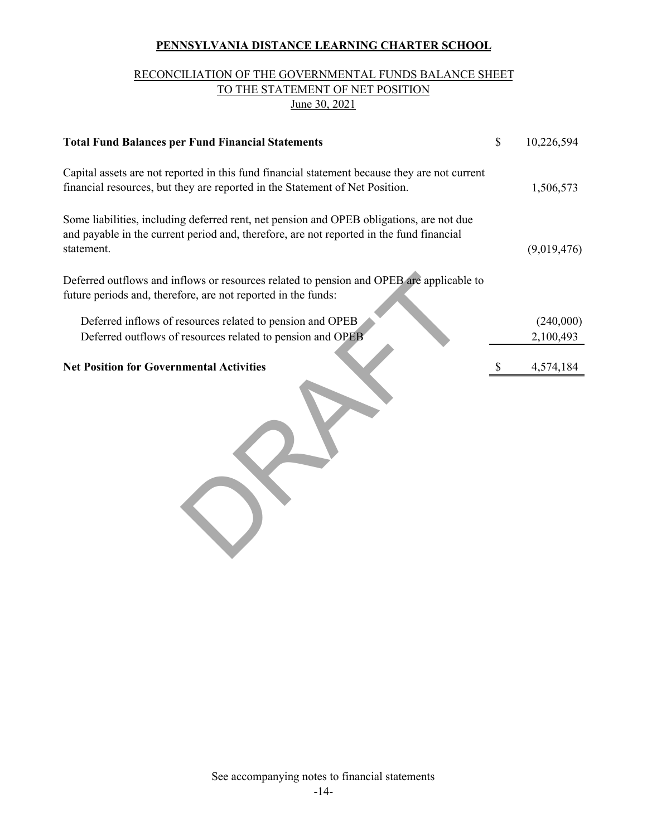# RECONCILIATION OF THE GOVERNMENTAL FUNDS BALANCE SHEET TO THE STATEMENT OF NET POSITION June 30, 2021

| <b>Total Fund Balances per Fund Financial Statements</b>                                                                                                                                                                                                                             | \$<br>10,226,594       |
|--------------------------------------------------------------------------------------------------------------------------------------------------------------------------------------------------------------------------------------------------------------------------------------|------------------------|
| Capital assets are not reported in this fund financial statement because they are not current<br>financial resources, but they are reported in the Statement of Net Position.                                                                                                        | 1,506,573              |
| Some liabilities, including deferred rent, net pension and OPEB obligations, are not due<br>and payable in the current period and, therefore, are not reported in the fund financial<br>statement.                                                                                   | (9,019,476)            |
| Deferred outflows and inflows or resources related to pension and OPEB are applicable to<br>future periods and, therefore, are not reported in the funds:<br>Deferred inflows of resources related to pension and OPEB<br>Deferred outflows of resources related to pension and OPEB | (240,000)<br>2,100,493 |
| <b>Net Position for Governmental Activities</b>                                                                                                                                                                                                                                      | 4,574,184              |
|                                                                                                                                                                                                                                                                                      |                        |

DRAFT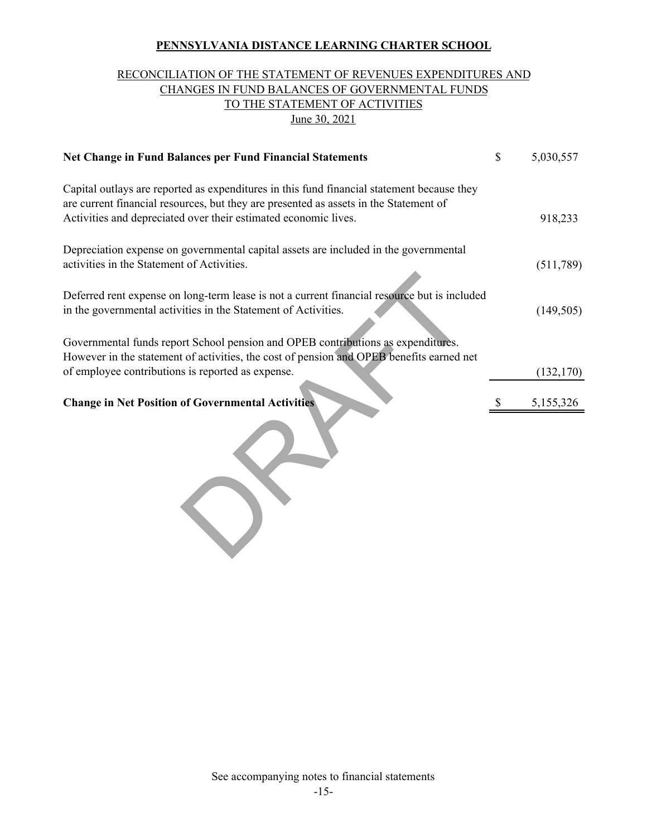# RECONCILIATION OF THE STATEMENT OF REVENUES EXPENDITURES AND CHANGES IN FUND BALANCES OF GOVERNMENTAL FUNDS TO THE STATEMENT OF ACTIVITIES June 30, 2021

| Net Change in Fund Balances per Fund Financial Statements                                                                                                                           | \$<br>5,030,557 |
|-------------------------------------------------------------------------------------------------------------------------------------------------------------------------------------|-----------------|
| Capital outlays are reported as expenditures in this fund financial statement because they<br>are current financial resources, but they are presented as assets in the Statement of |                 |
| Activities and depreciated over their estimated economic lives.                                                                                                                     | 918,233         |
| Depreciation expense on governmental capital assets are included in the governmental                                                                                                |                 |
| activities in the Statement of Activities.                                                                                                                                          | (511,789)       |
| Deferred rent expense on long-term lease is not a current financial resource but is included                                                                                        |                 |
| in the governmental activities in the Statement of Activities.                                                                                                                      | (149, 505)      |
| Governmental funds report School pension and OPEB contributions as expenditures.                                                                                                    |                 |
| However in the statement of activities, the cost of pension and OPEB benefits earned net                                                                                            |                 |
| of employee contributions is reported as expense.                                                                                                                                   | (132, 170)      |
|                                                                                                                                                                                     |                 |
| <b>Change in Net Position of Governmental Activities</b>                                                                                                                            | 5,155,326       |
|                                                                                                                                                                                     |                 |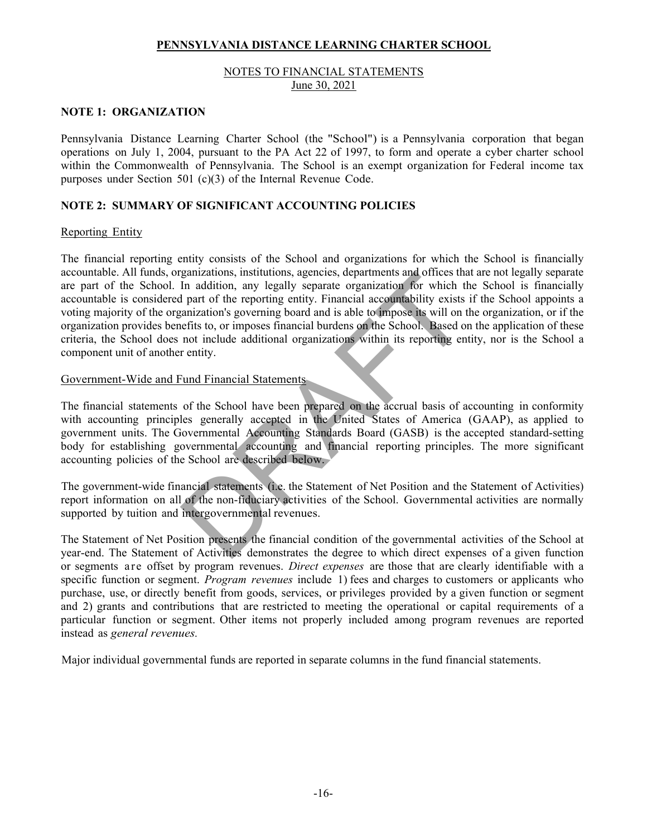#### NOTES TO FINANCIAL STATEMENTS June 30, 2021

#### **NOTE 1: ORGANIZATION**

Pennsylvania Distance Learning Charter School (the "School") is a Pennsylvania corporation that began operations on July 1, 2004, pursuant to the PA Act 22 of 1997, to form and operate a cyber charter school within the Commonwealth of Pennsylvania. The School is an exempt organization for Federal income tax purposes under Section 501 (c)(3) of the Internal Revenue Code.

#### **NOTE 2: SUMMARY OF SIGNIFICANT ACCOUNTING POLICIES**

#### Reporting Entity

ganizations, institutions, agencies, departments and offices than addition, any legally separate organization for which the part of the reporting entity. Financial accountability exists (and it and its able to impose its w The financial reporting entity consists of the School and organizations for which the School is financially accountable. All funds, organizations, institutions, agencies, departments and offices that are not legally separate are part of the School. In addition, any legally separate organization for which the School is financially accountable is considered part of the reporting entity. Financial accountability exists if the School appoints a voting majority of the organization's governing board and is able to impose its will on the organization, or if the organization provides benefits to, or imposes financial burdens on the School. Based on the application of these criteria, the School does not include additional organizations within its reporting entity, nor is the School a component unit of another entity.

#### Government-Wide and Fund Financial Statements

The financial statements of the School have been prepared on the accrual basis of accounting in conformity with accounting principles generally accepted in the United States of America (GAAP), as applied to government units. The Governmental Accounting Standards Board (GASB) is the accepted standard-setting body for establishing governmental accounting and financial reporting principles. The more significant accounting policies of the School are described below.

The government-wide financial statements (i.e. the Statement of Net Position and the Statement of Activities) report information on all of the non-fiduciary activities of the School. Governmental activities are normally supported by tuition and intergovernmental revenues.

The Statement of Net Position presents the financial condition of the governmental activities of the School at year-end. The Statement of Activities demonstrates the degree to which direct expenses of a given function or segments are offset by program revenues. *Direct expenses* are those that are clearly identifiable with a specific function or segment. *Program revenues* include 1) fees and charges to customers or applicants who purchase, use, or directly benefit from goods, services, or privileges provided by a given function or segment and 2) grants and contributions that are restricted to meeting the operational or capital requirements of a particular function or segment. Other items not properly included among program revenues are reported instead as *general revenues.*

Major individual governmental funds are reported in separate columns in the fund financial statements.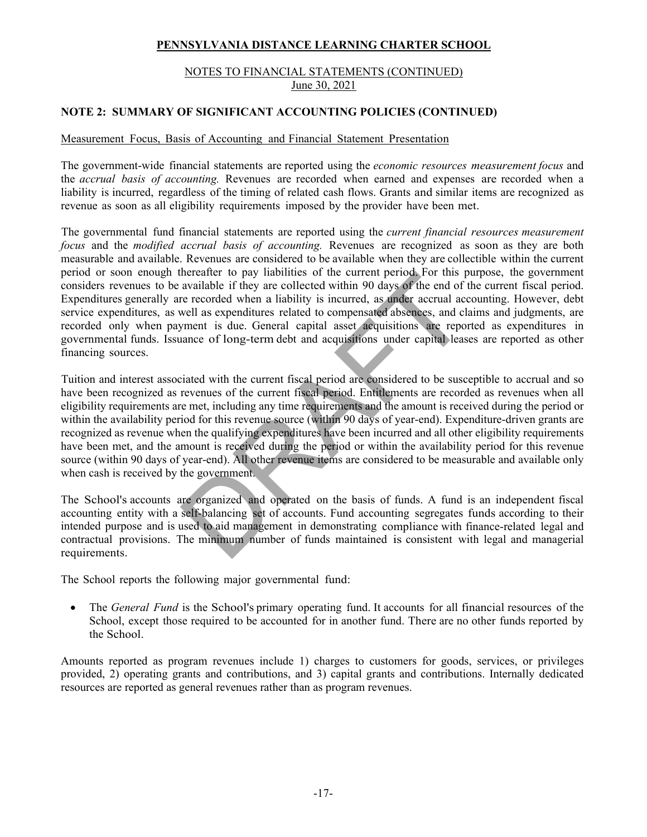#### NOTES TO FINANCIAL STATEMENTS (CONTINUED) June 30, 2021

#### **NOTE 2: SUMMARY OF SIGNIFICANT ACCOUNTING POLICIES (CONTINUED)**

#### Measurement Focus, Basis of Accounting and Financial Statement Presentation

The government-wide financial statements are reported using the *economic resources measurement focus* and the *accrual basis of accounting.* Revenues are recorded when earned and expenses are recorded when a liability is incurred, regardless of the timing of related cash flows. Grants and similar items are recognized as revenue as soon as all eligibility requirements imposed by the provider have been met.

The governmental fund financial statements are reported using the *current financial resources measurement focus* and the *modified accrual basis of accounting.* Revenues are recognized as soon as they are both measurable and available. Revenues are considered to be available when they are collectible within the current period or soon enough thereafter to pay liabilities of the current period. For this purpose, the government considers revenues to be available if they are collected within 90 days of the end of the current fiscal period. Expenditures generally are recorded when a liability is incurred, as under accrual accounting. However, debt service expenditures, as well as expenditures related to compensated absences, and claims and judgments, are recorded only when payment is due. General capital asset acquisitions are reported as expenditures in governmental funds. Issuance of long-term debt and acquisitions under capital leases are reported as other financing sources.

nereatter to pay habilities of the current period. For this provided within 90 days of the end of available if they are collected within 90 days of the end of reverded when a liability is incurred, as upder accula lace we Tuition and interest associated with the current fiscal period are considered to be susceptible to accrual and so have been recognized as revenues of the current fiscal period. Entitlements are recorded as revenues when all eligibility requirements are met, including any time requirements and the amount is received during the period or within the availability period for this revenue source (within 90 days of year-end). Expenditure-driven grants are recognized as revenue when the qualifying expenditures have been incurred and all other eligibility requirements have been met, and the amount is received during the period or within the availability period for this revenue source (within 90 days of year-end). All other revenue items are considered to be measurable and available only when cash is received by the government.

The School's accounts are organized and operated on the basis of funds. A fund is an independent fiscal accounting entity with a self-balancing set of accounts. Fund accounting segregates funds according to their intended purpose and is used to aid management in demonstrating compliance with finance-related legal and contractual provisions. The minimum number of funds maintained is consistent with legal and managerial requirements.

The School reports the following major governmental fund:

• The *General Fund* is the School's primary operating fund. It accounts for all financial resources of the School, except those required to be accounted for in another fund. There are no other funds reported by the School.

Amounts reported as program revenues include 1) charges to customers for goods, services, or privileges provided, 2) operating grants and contributions, and 3) capital grants and contributions. Internally dedicated resources are reported as general revenues rather than as program revenues.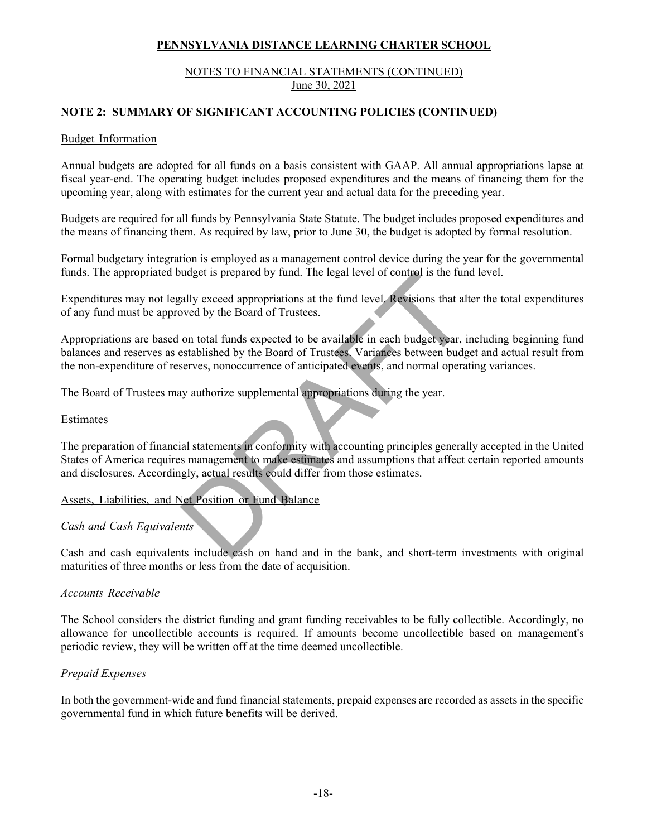### NOTES TO FINANCIAL STATEMENTS (CONTINUED) June 30, 2021

#### **NOTE 2: SUMMARY OF SIGNIFICANT ACCOUNTING POLICIES (CONTINUED)**

#### Budget Information

Annual budgets are adopted for all funds on a basis consistent with GAAP. All annual appropriations lapse at fiscal year-end. The operating budget includes proposed expenditures and the means of financing them for the upcoming year, along with estimates for the current year and actual data for the preceding year.

Budgets are required for all funds by Pennsylvania State Statute. The budget includes proposed expenditures and the means of financing them. As required by law, prior to June 30, the budget is adopted by formal resolution.

Formal budgetary integration is employed as a management control device during the year for the governmental funds. The appropriated budget is prepared by fund. The legal level of control is the fund level.

Expenditures may not legally exceed appropriations at the fund level. Revisions that alter the total expenditures of any fund must be approved by the Board of Trustees.

dianopted is prepared by fund. The legal level of control is the fund<br>ally exceed appropriations at the fund level. Revisions that all<br>oved by the Board of Trustees.<br>on total funds expected to be available in each budget y Appropriations are based on total funds expected to be available in each budget year, including beginning fund balances and reserves as established by the Board of Trustees. Variances between budget and actual result from the non-expenditure of reserves, nonoccurrence of anticipated events, and normal operating variances.

The Board of Trustees may authorize supplemental appropriations during the year.

#### Estimates

The preparation of financial statements in conformity with accounting principles generally accepted in the United States of America requires management to make estimates and assumptions that affect certain reported amounts and disclosures. Accordingly, actual results could differ from those estimates.

# Assets, Liabilities, and Net Position or Fund Balance

#### *Cash and Cash Equivalents*

Cash and cash equivalents include cash on hand and in the bank, and short-term investments with original maturities of three months or less from the date of acquisition.

#### *Accounts Receivable*

The School considers the district funding and grant funding receivables to be fully collectible. Accordingly, no allowance for uncollectible accounts is required. If amounts become uncollectible based on management's periodic review, they will be written off at the time deemed uncollectible.

#### *Prepaid Expenses*

In both the government-wide and fund financial statements, prepaid expenses are recorded as assets in the specific governmental fund in which future benefits will be derived.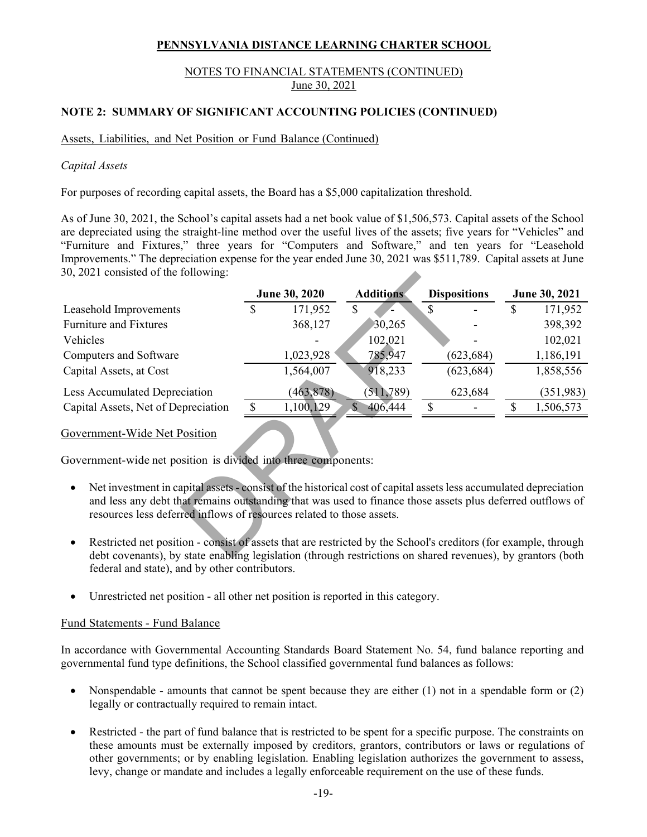#### NOTES TO FINANCIAL STATEMENTS (CONTINUED) June 30, 2021

#### **NOTE 2: SUMMARY OF SIGNIFICANT ACCOUNTING POLICIES (CONTINUED)**

#### Assets, Liabilities, and Net Position or Fund Balance (Continued)

#### *Capital Assets*

For purposes of recording capital assets, the Board has a \$5,000 capitalization threshold.

As of June 30, 2021, the School's capital assets had a net book value of \$1,506,573. Capital assets of the School are depreciated using the straight-line method over the useful lives of the assets; five years for "Vehicles" and "Furniture and Fixtures," three years for "Computers and Software," and ten years for "Leasehold Improvements." The depreciation expense for the year ended June 30, 2021 was \$511,789. Capital assets at June 30, 2021 consisted of the following:

| 30, 2021 consisted of the following:                                                                                                                                                                                                                                                                     |               |                  |                     |               |
|----------------------------------------------------------------------------------------------------------------------------------------------------------------------------------------------------------------------------------------------------------------------------------------------------------|---------------|------------------|---------------------|---------------|
|                                                                                                                                                                                                                                                                                                          | June 30, 2020 | <b>Additions</b> | <b>Dispositions</b> | June 30, 2021 |
| Leasehold Improvements                                                                                                                                                                                                                                                                                   | 171,952       | \$               | \$                  | 171,952       |
| <b>Furniture and Fixtures</b>                                                                                                                                                                                                                                                                            | 368,127       | 30,265           |                     | 398,392       |
| Vehicles                                                                                                                                                                                                                                                                                                 |               | 102,021          |                     | 102,021       |
| Computers and Software                                                                                                                                                                                                                                                                                   | 1,023,928     | 785,947          | (623, 684)          | 1,186,191     |
| Capital Assets, at Cost                                                                                                                                                                                                                                                                                  | 1,564,007     | 918,233          | (623, 684)          | 1,858,556     |
| Less Accumulated Depreciation                                                                                                                                                                                                                                                                            | (463, 878)    | (511, 789)       | 623,684             | (351, 983)    |
| Capital Assets, Net of Depreciation                                                                                                                                                                                                                                                                      | 1,100,129     | 406,444          |                     | 1,506,573     |
| Government-Wide Net Position<br>Government-wide net position is divided into three components:                                                                                                                                                                                                           |               |                  |                     |               |
| Net investment in capital assets - consist of the historical cost of capital assets less accumulated depreciation<br>and less any debt that remains outstanding that was used to finance those assets plus deferred outflows of<br>resources less deferred inflows of resources related to those assets. |               |                  |                     |               |
| Restricted net position - consist of assets that are restricted by the School's creditors (for example, through<br>debt covenants), by state enabling legislation (through restrictions on shared revenues), by grantors (both                                                                           |               |                  |                     |               |

#### Government-Wide Net Position

- Net investment in capital assets consist of the historical cost of capital assets less accumulated depreciation and less any debt that remains outstanding that was used to finance those assets plus deferred outflows of resources less deferred inflows of resources related to those assets.
- Restricted net position consist of assets that are restricted by the School's creditors (for example, through debt covenants), by state enabling legislation (through restrictions on shared revenues), by grantors (both federal and state), and by other contributors.
- Unrestricted net position all other net position is reported in this category.

#### Fund Statements - Fund Balance

In accordance with Governmental Accounting Standards Board Statement No. 54, fund balance reporting and governmental fund type definitions, the School classified governmental fund balances as follows:

- Nonspendable amounts that cannot be spent because they are either  $(1)$  not in a spendable form or  $(2)$ legally or contractually required to remain intact.
- Restricted the part of fund balance that is restricted to be spent for a specific purpose. The constraints on these amounts must be externally imposed by creditors, grantors, contributors or laws or regulations of other governments; or by enabling legislation. Enabling legislation authorizes the government to assess, levy, change or mandate and includes a legally enforceable requirement on the use of these funds.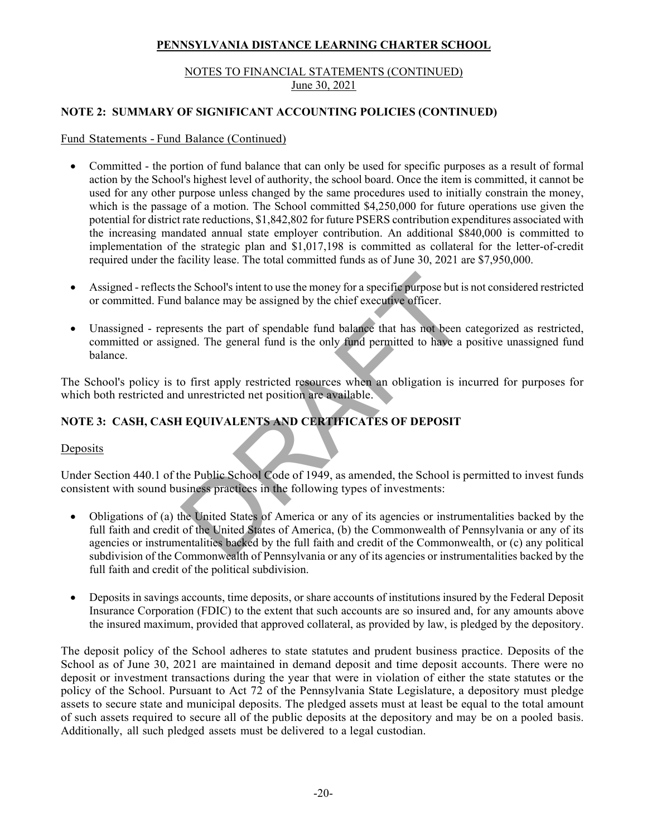# NOTES TO FINANCIAL STATEMENTS (CONTINUED) June 30, 2021

#### **NOTE 2: SUMMARY OF SIGNIFICANT ACCOUNTING POLICIES (CONTINUED)**

#### Fund Statements - Fund Balance (Continued)

- Committed the portion of fund balance that can only be used for specific purposes as a result of formal action by the School's highest level of authority, the school board. Once the item is committed, it cannot be used for any other purpose unless changed by the same procedures used to initially constrain the money, which is the passage of a motion. The School committed \$4,250,000 for future operations use given the potential for district rate reductions, \$1,842,802 for future PSERS contribution expenditures associated with the increasing mandated annual state employer contribution. An additional \$840,000 is committed to implementation of the strategic plan and \$1,017,198 is committed as collateral for the letter-of-credit required under the facility lease. The total committed funds as of June 30, 2021 are \$7,950,000.
- Assigned reflects the School's intent to use the money for a specific purpose but is not considered restricted or committed. Fund balance may be assigned by the chief executive officer.
- Unassigned represents the part of spendable fund balance that has not been categorized as restricted, committed or assigned. The general fund is the only fund permitted to have a positive unassigned fund balance.

The School's policy is to first apply restricted resources when an obligation is incurred for purposes for which both restricted and unrestricted net position are available.

# **NOTE 3: CASH, CASH EQUIVALENTS AND CERTIFICATES OF DEPOSIT**

# Deposits

Under Section 440.1 of the Public School Code of 1949, as amended, the School is permitted to invest funds consistent with sound business practices in the following types of investments:

- the School's intent to use the money for a specific purpose but is<br>balance may be assigned by the chief executive officer.<br>sents the part of spendable fund balance that has not been oned. The general fund is the only fund Obligations of (a) the United States of America or any of its agencies or instrumentalities backed by the full faith and credit of the United States of America, (b) the Commonwealth of Pennsylvania or any of its agencies or instrumentalities backed by the full faith and credit of the Commonwealth, or (c) any political subdivision of the Commonwealth of Pennsylvania or any of its agencies or instrumentalities backed by the full faith and credit of the political subdivision.
- Deposits in savings accounts, time deposits, or share accounts of institutions insured by the Federal Deposit Insurance Corporation (FDIC) to the extent that such accounts are so insured and, for any amounts above the insured maximum, provided that approved collateral, as provided by law, is pledged by the depository.

The deposit policy of the School adheres to state statutes and prudent business practice. Deposits of the School as of June 30, 2021 are maintained in demand deposit and time deposit accounts. There were no deposit or investment transactions during the year that were in violation of either the state statutes or the policy of the School. Pursuant to Act 72 of the Pennsylvania State Legislature, a depository must pledge assets to secure state and municipal deposits. The pledged assets must at least be equal to the total amount of such assets required to secure all of the public deposits at the depository and may be on a pooled basis. Additionally, all such pledged assets must be delivered to a legal custodian.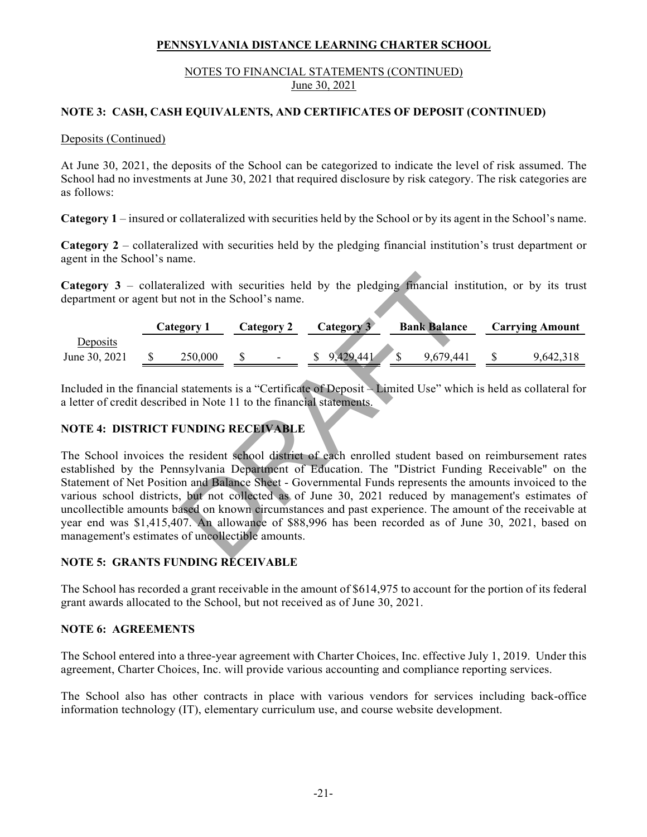#### NOTES TO FINANCIAL STATEMENTS (CONTINUED) June 30, 2021

#### **NOTE 3: CASH, CASH EQUIVALENTS, AND CERTIFICATES OF DEPOSIT (CONTINUED)**

#### Deposits (Continued)

At June 30, 2021, the deposits of the School can be categorized to indicate the level of risk assumed. The School had no investments at June 30, 2021 that required disclosure by risk category. The risk categories are as follows:

**Category 1** – insured or collateralized with securities held by the School or by its agent in the School's name.

**Category 2** – collateralized with securities held by the pledging financial institution's trust department or agent in the School's name.

**Category 3** – collateralized with securities held by the pledging financial institution, or by its trust department or agent but not in the School's name.

|               | Category | <b>Category 2</b> | <b>Category 3</b> | <b>Bank Balance</b> | <b>Carrying Amount</b> |
|---------------|----------|-------------------|-------------------|---------------------|------------------------|
| Deposits      |          |                   |                   |                     |                        |
| June 30, 2021 | 250,000  |                   | 9,429,441         | 9,679,441           | 9,642,318              |

Included in the financial statements is a "Certificate of Deposit – Limited Use" which is held as collateral for a letter of credit described in Note 11 to the financial statements.

# **NOTE 4: DISTRICT FUNDING RECEIVABLE**

Solution and Balance Server Contract and pair of the server of the School and the School's name.<br>
Solution of the School's name.<br>
Solution of the School of School and Balance Server Contract of Deposit Limited Use" which i The School invoices the resident school district of each enrolled student based on reimbursement rates established by the Pennsylvania Department of Education. The "District Funding Receivable" on the Statement of Net Position and Balance Sheet - Governmental Funds represents the amounts invoiced to the various school districts, but not collected as of June 30, 2021 reduced by management's estimates of uncollectible amounts based on known circumstances and past experience. The amount of the receivable at year end was \$1,415,407. An allowance of \$88,996 has been recorded as of June 30, 2021, based on management's estimates of uncollectible amounts.

#### **NOTE 5: GRANTS FUNDING RECEIVABLE**

The School has recorded a grant receivable in the amount of \$614,975 to account for the portion of its federal grant awards allocated to the School, but not received as of June 30, 2021.

#### **NOTE 6: AGREEMENTS**

The School entered into a three-year agreement with Charter Choices, Inc. effective July 1, 2019. Under this agreement, Charter Choices, Inc. will provide various accounting and compliance reporting services.

The School also has other contracts in place with various vendors for services including back-office information technology (IT), elementary curriculum use, and course website development.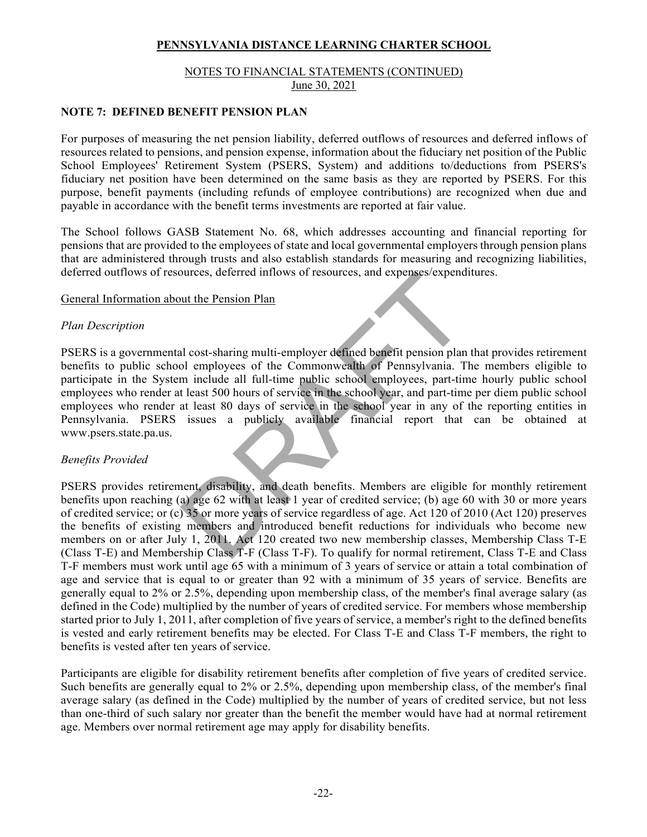#### NOTES TO FINANCIAL STATEMENTS (CONTINUED) June 30, 2021

#### **NOTE 7: DEFINED BENEFIT PENSION PLAN**

For purposes of measuring the net pension liability, deferred outflows of resources and deferred inflows of resources related to pensions, and pension expense, information about the fiduciary net position of the Public School Employees' Retirement System (PSERS, System) and additions to/deductions from PSERS's fiduciary net position have been determined on the same basis as they are reported by PSERS. For this purpose, benefit payments (including refunds of employee contributions) are recognized when due and payable in accordance with the benefit terms investments are reported at fair value.

The School follows GASB Statement No. 68, which addresses accounting and financial reporting for pensions that are provided to the employees of state and local governmental employers through pension plans that are administered through trusts and also establish standards for measuring and recognizing liabilities, deferred outflows of resources, deferred inflows of resources, and expenses/expenditures.

#### General Information about the Pension Plan

#### *Plan Description*

ources, deterred inflows of resources, and expenses/expend<br>
out the Pension Plan<br>
and cost-sharing multi-employer defined benefit pension plan<br>
and employees of the Commonwealth of Pennsylvania. T<br>
m include all full-time PSERS is a governmental cost-sharing multi-employer defined benefit pension plan that provides retirement benefits to public school employees of the Commonwealth of Pennsylvania. The members eligible to participate in the System include all full-time public school employees, part-time hourly public school employees who render at least 500 hours of service in the school year, and part-time per diem public school employees who render at least 80 days of service in the school year in any of the reporting entities in Pennsylvania. PSERS issues a publicly available financial report that can be obtained at www.psers.state.pa.us.

#### *Benefits Provided*

PSERS provides retirement, disability, and death benefits. Members are eligible for monthly retirement benefits upon reaching (a) age 62 with at least 1 year of credited service; (b) age 60 with 30 or more years of credited service; or (c) 35 or more years of service regardless of age. Act 120 of 2010 (Act 120) preserves the benefits of existing members and introduced benefit reductions for individuals who become new members on or after July 1, 2011. Act 120 created two new membership classes, Membership Class T-E (Class T-E) and Membership Class T-F (Class T-F). To qualify for normal retirement, Class T-E and Class T-F members must work until age 65 with a minimum of 3 years of service or attain a total combination of age and service that is equal to or greater than 92 with a minimum of 35 years of service. Benefits are generally equal to 2% or 2.5%, depending upon membership class, of the member's final average salary (as defined in the Code) multiplied by the number of years of credited service. For members whose membership started prior to July 1, 2011, after completion of five years of service, a member's right to the defined benefits is vested and early retirement benefits may be elected. For Class T-E and Class T-F members, the right to benefits is vested after ten years of service.

Participants are eligible for disability retirement benefits after completion of five years of credited service. Such benefits are generally equal to 2% or 2.5%, depending upon membership class, of the member's final average salary (as defined in the Code) multiplied by the number of years of credited service, but not less than one-third of such salary nor greater than the benefit the member would have had at normal retirement age. Members over normal retirement age may apply for disability benefits.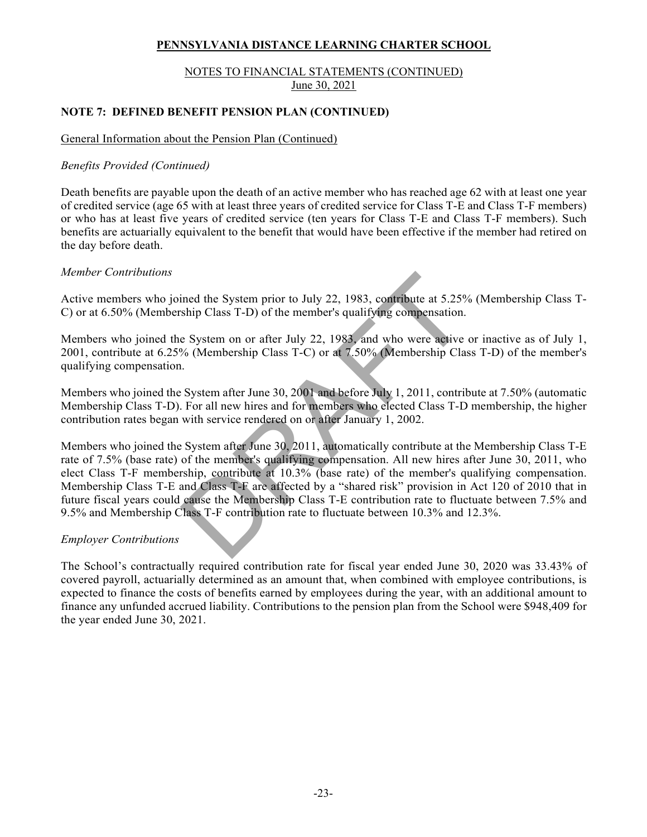#### NOTES TO FINANCIAL STATEMENTS (CONTINUED) June 30, 2021

#### **NOTE 7: DEFINED BENEFIT PENSION PLAN (CONTINUED)**

#### General Information about the Pension Plan (Continued)

#### *Benefits Provided (Continued)*

Death benefits are payable upon the death of an active member who has reached age 62 with at least one year of credited service (age 65 with at least three years of credited service for Class T-E and Class T-F members) or who has at least five years of credited service (ten years for Class T-E and Class T-F members). Such benefits are actuarially equivalent to the benefit that would have been effective if the member had retired on the day before death.

#### *Member Contributions*

Active members who joined the System prior to July 22, 1983, contribute at 5.25% (Membership Class T-C) or at 6.50% (Membership Class T-D) of the member's qualifying compensation.

Members who joined the System on or after July 22, 1983, and who were active or inactive as of July 1, 2001, contribute at 6.25% (Membership Class T-C) or at 7.50% (Membership Class T-D) of the member's qualifying compensation.

Members who joined the System after June 30, 2001 and before July 1, 2011, contribute at 7.50% (automatic Membership Class T-D). For all new hires and for members who elected Class T-D membership, the higher contribution rates began with service rendered on or after January 1, 2002.

ined the System prior to July 22, 1983, contribute at 5.25%<br>ship Class T-D) of the member's qualifying compensation.<br>e System on or after July 22, 1983, and who were active<br>% (Membership Class T-C) or at 7.50% (Membership Members who joined the System after June 30, 2011, automatically contribute at the Membership Class T-E rate of 7.5% (base rate) of the member's qualifying compensation. All new hires after June 30, 2011, who elect Class T-F membership, contribute at 10.3% (base rate) of the member's qualifying compensation. Membership Class T-E and Class T-F are affected by a "shared risk" provision in Act 120 of 2010 that in future fiscal years could cause the Membership Class T-E contribution rate to fluctuate between 7.5% and 9.5% and Membership Class T-F contribution rate to fluctuate between 10.3% and 12.3%.

#### *Employer Contributions*

The School's contractually required contribution rate for fiscal year ended June 30, 2020 was 33.43% of covered payroll, actuarially determined as an amount that, when combined with employee contributions, is expected to finance the costs of benefits earned by employees during the year, with an additional amount to finance any unfunded accrued liability. Contributions to the pension plan from the School were \$948,409 for the year ended June 30, 2021.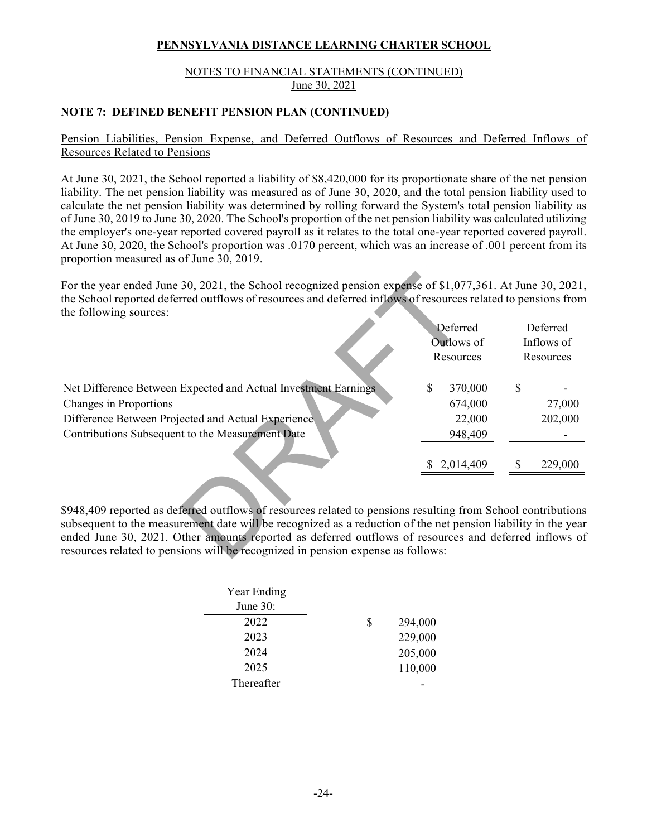#### NOTES TO FINANCIAL STATEMENTS (CONTINUED) June 30, 2021

#### **NOTE 7: DEFINED BENEFIT PENSION PLAN (CONTINUED)**

#### Pension Liabilities, Pension Expense, and Deferred Outflows of Resources and Deferred Inflows of Resources Related to Pensions

At June 30, 2021, the School reported a liability of \$8,420,000 for its proportionate share of the net pension liability. The net pension liability was measured as of June 30, 2020, and the total pension liability used to calculate the net pension liability was determined by rolling forward the System's total pension liability as of June 30, 2019 to June 30, 2020. The School's proportion of the net pension liability was calculated utilizing the employer's one-year reported covered payroll as it relates to the total one-year reported covered payroll. At June 30, 2020, the School's proportion was .0170 percent, which was an increase of .001 percent from its proportion measured as of June 30, 2019.

| the following sources:                                                                                                                                                                                                                                                                                                                                                                                                    | Deferred<br>Outlows of<br>Resources           | Deferred<br>Inflows of<br>Resources |
|---------------------------------------------------------------------------------------------------------------------------------------------------------------------------------------------------------------------------------------------------------------------------------------------------------------------------------------------------------------------------------------------------------------------------|-----------------------------------------------|-------------------------------------|
| Net Difference Between Expected and Actual Investment Earnings<br>Changes in Proportions<br>Difference Between Projected and Actual Experience<br>Contributions Subsequent to the Measurement Date                                                                                                                                                                                                                        | 370,000<br>\$<br>674,000<br>22,000<br>948,409 | S<br>27,000<br>202,000              |
| \$948,409 reported as deferred outflows of resources related to pensions resulting from School contributions<br>subsequent to the measurement date will be recognized as a reduction of the net pension liability in the year<br>ended June 30, 2021. Other amounts reported as deferred outflows of resources and deferred inflows of<br>resources related to pensions will be recognized in pension expense as follows: | \$2,014,409                                   | 229,000                             |

| Year Ending<br>June $30:$ |               |
|---------------------------|---------------|
| 2022                      | \$<br>294,000 |
| 2023                      | 229,000       |
| 2024                      | 205,000       |
| 2025                      | 110,000       |
| Thereafter                |               |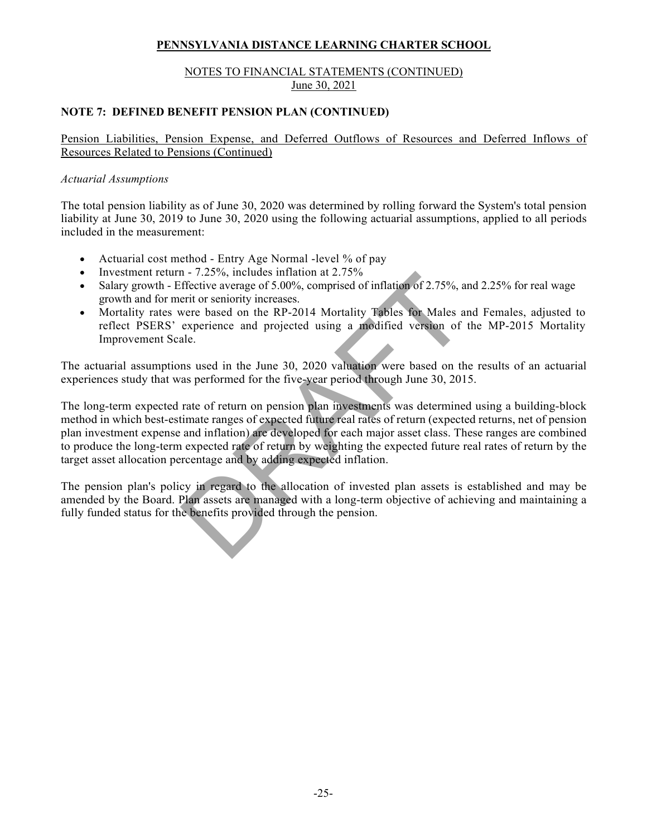#### NOTES TO FINANCIAL STATEMENTS (CONTINUED) June 30, 2021

#### **NOTE 7: DEFINED BENEFIT PENSION PLAN (CONTINUED)**

Pension Liabilities, Pension Expense, and Deferred Outflows of Resources and Deferred Inflows of Resources Related to Pensions (Continued)

#### *Actuarial Assumptions*

The total pension liability as of June 30, 2020 was determined by rolling forward the System's total pension liability at June 30, 2019 to June 30, 2020 using the following actuarial assumptions, applied to all periods included in the measurement:

- Actuarial cost method Entry Age Normal -level % of pay
- Investment return 7.25%, includes inflation at 2.75%
- Salary growth Effective average of 5.00%, comprised of inflation of 2.75%, and 2.25% for real wage growth and for merit or seniority increases.
- Mortality rates were based on the RP-2014 Mortality Tables for Males and Females, adjusted to reflect PSERS' experience and projected using a modified version of the MP-2015 Mortality Improvement Scale.

The actuarial assumptions used in the June 30, 2020 valuation were based on the results of an actuarial experiences study that was performed for the five-year period through June 30, 2015.

n - 7.25%, includes inflation at 2.75%<br>ffective average of 5.00%, comprised of inflation of 2.75%, and<br>erit or seniority increases.<br>were based on the RP-2014 Mortality Tables for Males an<br>experience and projected using a m The long-term expected rate of return on pension plan investments was determined using a building-block method in which best-estimate ranges of expected future real rates of return (expected returns, net of pension plan investment expense and inflation) are developed for each major asset class. These ranges are combined to produce the long-term expected rate of return by weighting the expected future real rates of return by the target asset allocation percentage and by adding expected inflation.

The pension plan's policy in regard to the allocation of invested plan assets is established and may be amended by the Board. Plan assets are managed with a long-term objective of achieving and maintaining a fully funded status for the benefits provided through the pension.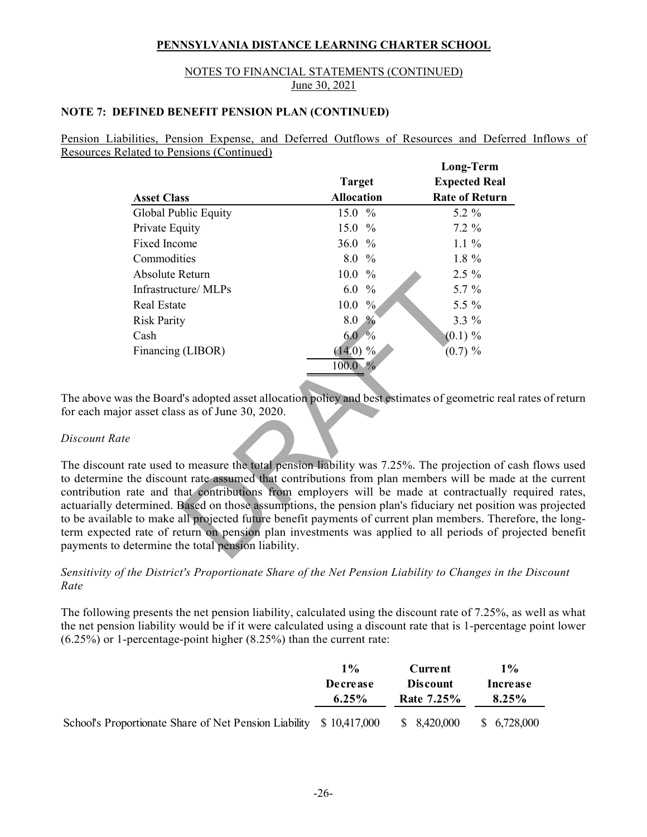#### NOTES TO FINANCIAL STATEMENTS (CONTINUED) June 30, 2021

#### **NOTE 7: DEFINED BENEFIT PENSION PLAN (CONTINUED)**

Pension Liabilities, Pension Expense, and Deferred Outflows of Resources and Deferred Inflows of Resources Related to Pensions (Continued)

|                                                                                                                                                                                                                                                                                                                                                                                                                                                                                                                                          |                   | Long-Term             |  |  |  |  |
|------------------------------------------------------------------------------------------------------------------------------------------------------------------------------------------------------------------------------------------------------------------------------------------------------------------------------------------------------------------------------------------------------------------------------------------------------------------------------------------------------------------------------------------|-------------------|-----------------------|--|--|--|--|
|                                                                                                                                                                                                                                                                                                                                                                                                                                                                                                                                          | <b>Target</b>     | <b>Expected Real</b>  |  |  |  |  |
| <b>Asset Class</b>                                                                                                                                                                                                                                                                                                                                                                                                                                                                                                                       | <b>Allocation</b> | <b>Rate of Return</b> |  |  |  |  |
| Global Public Equity                                                                                                                                                                                                                                                                                                                                                                                                                                                                                                                     | 15.0 %            | 5.2 %                 |  |  |  |  |
| Private Equity                                                                                                                                                                                                                                                                                                                                                                                                                                                                                                                           | 15.0 $%$          | $7.2 \%$              |  |  |  |  |
| Fixed Income                                                                                                                                                                                                                                                                                                                                                                                                                                                                                                                             | 36.0 $%$          | $1.1\%$               |  |  |  |  |
| Commodities                                                                                                                                                                                                                                                                                                                                                                                                                                                                                                                              | $8.0\%$           | $1.8\%$               |  |  |  |  |
| Absolute Return                                                                                                                                                                                                                                                                                                                                                                                                                                                                                                                          | 10.0 %            | $2.5\%$               |  |  |  |  |
| Infrastructure/ MLPs                                                                                                                                                                                                                                                                                                                                                                                                                                                                                                                     | 6.0 $%$           | 5.7 $%$               |  |  |  |  |
| <b>Real Estate</b>                                                                                                                                                                                                                                                                                                                                                                                                                                                                                                                       | $10.0\%$          | 5.5 $%$               |  |  |  |  |
| <b>Risk Parity</b>                                                                                                                                                                                                                                                                                                                                                                                                                                                                                                                       | $8.0\%$           | $3.3\%$               |  |  |  |  |
| Cash                                                                                                                                                                                                                                                                                                                                                                                                                                                                                                                                     | $6.0\%$           | $(0.1) \%$            |  |  |  |  |
| Financing (LIBOR)                                                                                                                                                                                                                                                                                                                                                                                                                                                                                                                        | $(14.0) \%$       | $(0.7)$ %             |  |  |  |  |
|                                                                                                                                                                                                                                                                                                                                                                                                                                                                                                                                          | 100.0 %           |                       |  |  |  |  |
| s the Board's adopted asset allocation policy and best estimates of geometric real<br>r asset class as of June 30, 2020.                                                                                                                                                                                                                                                                                                                                                                                                                 |                   |                       |  |  |  |  |
| rate used to measure the total pension liability was 7.25%. The projection of ca<br>he discount rate assumed that contributions from plan members will be made<br>ate and that contributions from employers will be made at contractually<br>ermined. Based on those assumptions, the pension plan's fiduciary net position<br>e to make all projected future benefit payments of current plan members. There<br>I rate of return on pension plan investments was applied to all periods of pro<br>etermine the total pension liability. |                   |                       |  |  |  |  |

The above was the Board's adopted asset allocation policy and best estimates of geometric real rates of return for each major asset class as of June 30, 2020.

#### *Discount Rate*

The discount rate used to measure the total pension liability was 7.25%. The projection of cash flows used to determine the discount rate assumed that contributions from plan members will be made at the current contribution rate and that contributions from employers will be made at contractually required rates, actuarially determined. Based on those assumptions, the pension plan's fiduciary net position was projected to be available to make all projected future benefit payments of current plan members. Therefore, the longterm expected rate of return on pension plan investments was applied to all periods of projected benefit payments to determine the total pension liability.

#### *Sensitivity of the District's Proportionate Share of the Net Pension Liability to Changes in the Discount Rate*

The following presents the net pension liability, calculated using the discount rate of 7.25%, as well as what the net pension liability would be if it were calculated using a discount rate that is 1-percentage point lower (6.25%) or 1-percentage-point higher (8.25%) than the current rate:

|                                                                    | $1\%$    | Current           | $1\%$       |
|--------------------------------------------------------------------|----------|-------------------|-------------|
|                                                                    | Decrease | <b>Discount</b>   | Increase    |
|                                                                    | $6.25\%$ | <b>Rate 7.25%</b> | $8.25\%$    |
| School's Proportionate Share of Net Pension Liability \$10,417,000 |          | \$ 8,420,000      | \$6,728,000 |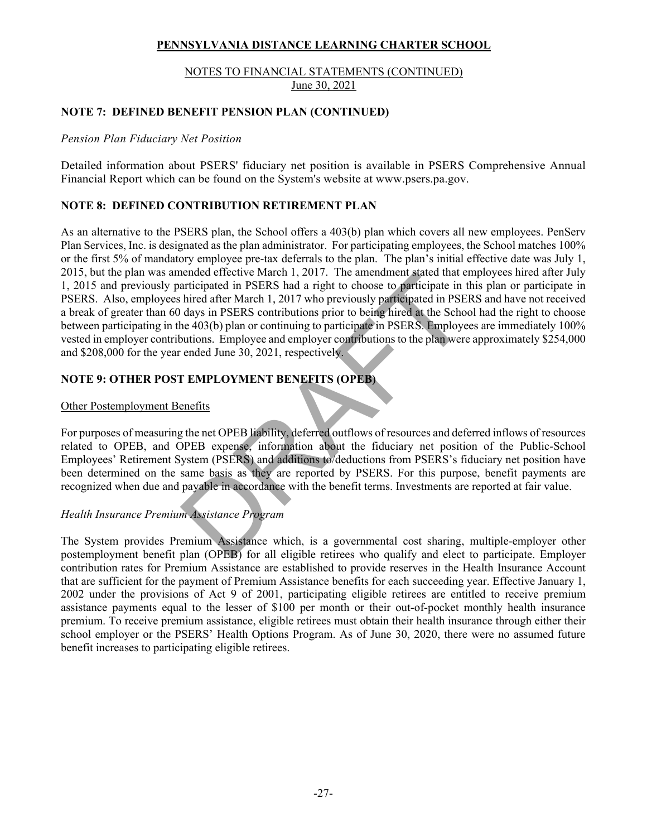#### NOTES TO FINANCIAL STATEMENTS (CONTINUED) June 30, 2021

#### **NOTE 7: DEFINED BENEFIT PENSION PLAN (CONTINUED)**

#### *Pension Plan Fiduciary Net Position*

Detailed information about PSERS' fiduciary net position is available in PSERS Comprehensive Annual Financial Report which can be found on the System's website at www.psers.pa.gov.

#### **NOTE 8: DEFINED CONTRIBUTION RETIREMENT PLAN**

inded effective March 1, 2017. The amendment stated that e<br>articipated in PSERS had a right to choose to participate in the<br>hired after March 1, 2017 who previously participated in PSE<br>days in PSERS contributions prior to As an alternative to the PSERS plan, the School offers a 403(b) plan which covers all new employees. PenServ Plan Services, Inc. is designated as the plan administrator. For participating employees, the School matches 100% or the first 5% of mandatory employee pre-tax deferrals to the plan. The plan's initial effective date was July 1, 2015, but the plan was amended effective March 1, 2017. The amendment stated that employees hired after July 1, 2015 and previously participated in PSERS had a right to choose to participate in this plan or participate in PSERS. Also, employees hired after March 1, 2017 who previously participated in PSERS and have not received a break of greater than 60 days in PSERS contributions prior to being hired at the School had the right to choose between participating in the 403(b) plan or continuing to participate in PSERS. Employees are immediately 100% vested in employer contributions. Employee and employer contributions to the plan were approximately \$254,000 and \$208,000 for the year ended June 30, 2021, respectively.

#### **NOTE 9: OTHER POST EMPLOYMENT BENEFITS (OPEB)**

#### Other Postemployment Benefits

For purposes of measuring the net OPEB liability, deferred outflows of resources and deferred inflows of resources related to OPEB, and OPEB expense, information about the fiduciary net position of the Public-School Employees' Retirement System (PSERS) and additions to/deductions from PSERS's fiduciary net position have been determined on the same basis as they are reported by PSERS. For this purpose, benefit payments are recognized when due and payable in accordance with the benefit terms. Investments are reported at fair value.

#### *Health Insurance Premium Assistance Program*

The System provides Premium Assistance which, is a governmental cost sharing, multiple-employer other postemployment benefit plan (OPEB) for all eligible retirees who qualify and elect to participate. Employer contribution rates for Premium Assistance are established to provide reserves in the Health Insurance Account that are sufficient for the payment of Premium Assistance benefits for each succeeding year. Effective January 1, 2002 under the provisions of Act 9 of 2001, participating eligible retirees are entitled to receive premium assistance payments equal to the lesser of \$100 per month or their out-of-pocket monthly health insurance premium. To receive premium assistance, eligible retirees must obtain their health insurance through either their school employer or the PSERS' Health Options Program. As of June 30, 2020, there were no assumed future benefit increases to participating eligible retirees.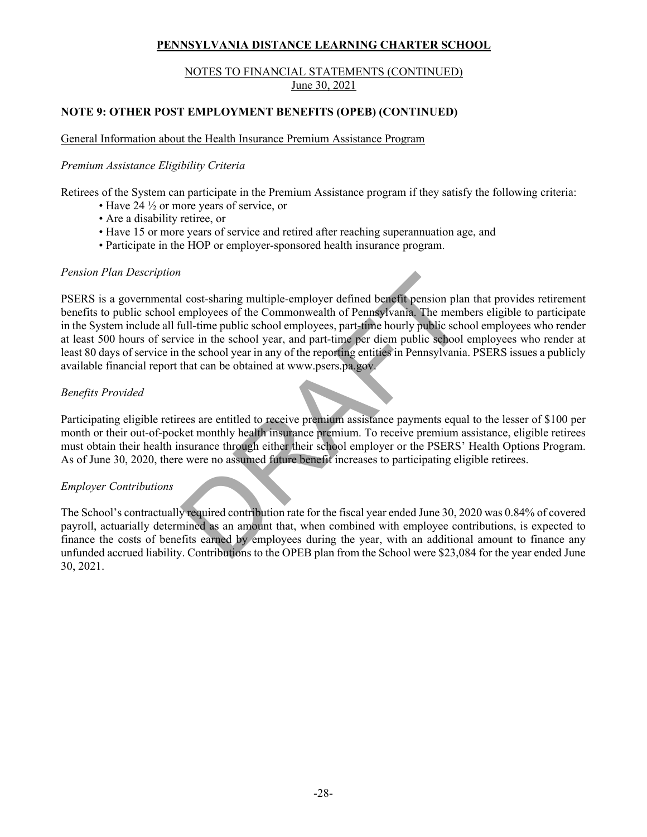#### NOTES TO FINANCIAL STATEMENTS (CONTINUED) June 30, 2021

#### **NOTE 9: OTHER POST EMPLOYMENT BENEFITS (OPEB) (CONTINUED)**

#### General Information about the Health Insurance Premium Assistance Program

#### *Premium Assistance Eligibility Criteria*

Retirees of the System can participate in the Premium Assistance program if they satisfy the following criteria:

- Have 24 ½ or more years of service, or
- Are a disability retiree, or
- Have 15 or more years of service and retired after reaching superannuation age, and
- Participate in the HOP or employer-sponsored health insurance program.

#### *Pension Plan Description*

I cost-sharing multiple-employer defined benefit pension plaremployees of the Commonwealth of Pennsylvania. The membul-<br>time public school employees, part-time hourly public school<br>tice in the school year, and part-time pe PSERS is a governmental cost-sharing multiple-employer defined benefit pension plan that provides retirement benefits to public school employees of the Commonwealth of Pennsylvania. The members eligible to participate in the System include all full-time public school employees, part-time hourly public school employees who render at least 500 hours of service in the school year, and part-time per diem public school employees who render at least 80 days of service in the school year in any of the reporting entities in Pennsylvania. PSERS issues a publicly available financial report that can be obtained at www.psers.pa.gov.

#### *Benefits Provided*

Participating eligible retirees are entitled to receive premium assistance payments equal to the lesser of \$100 per month or their out-of-pocket monthly health insurance premium. To receive premium assistance, eligible retirees must obtain their health insurance through either their school employer or the PSERS' Health Options Program. As of June 30, 2020, there were no assumed future benefit increases to participating eligible retirees.

#### *Employer Contributions*

The School's contractually required contribution rate for the fiscal year ended June 30, 2020 was 0.84% of covered payroll, actuarially determined as an amount that, when combined with employee contributions, is expected to finance the costs of benefits earned by employees during the year, with an additional amount to finance any unfunded accrued liability. Contributions to the OPEB plan from the School were \$23,084 for the year ended June 30, 2021.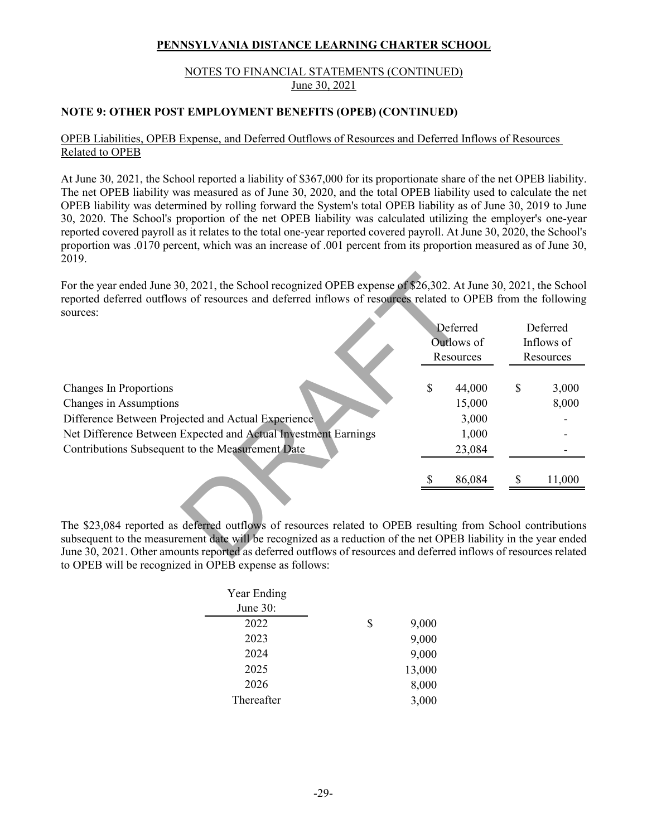# NOTES TO FINANCIAL STATEMENTS (CONTINUED) June 30, 2021

#### **NOTE 9: OTHER POST EMPLOYMENT BENEFITS (OPEB) (CONTINUED)**

#### OPEB Liabilities, OPEB Expense, and Deferred Outflows of Resources and Deferred Inflows of Resources Related to OPEB

At June 30, 2021, the School reported a liability of \$367,000 for its proportionate share of the net OPEB liability. The net OPEB liability was measured as of June 30, 2020, and the total OPEB liability used to calculate the net OPEB liability was determined by rolling forward the System's total OPEB liability as of June 30, 2019 to June 30, 2020. The School's proportion of the net OPEB liability was calculated utilizing the employer's one-year reported covered payroll as it relates to the total one-year reported covered payroll. At June 30, 2020, the School's proportion was .0170 percent, which was an increase of .001 percent from its proportion measured as of June 30, 2019.

| sources:                                                                                                                                                                                                                            | Deferred<br>Outlows of<br>Resources                | Deferred<br>Inflows of<br>Resources |
|-------------------------------------------------------------------------------------------------------------------------------------------------------------------------------------------------------------------------------------|----------------------------------------------------|-------------------------------------|
| <b>Changes In Proportions</b><br>Changes in Assumptions<br>Difference Between Projected and Actual Experience<br>Net Difference Between Expected and Actual Investment Earnings<br>Contributions Subsequent to the Measurement Date | \$<br>44,000<br>15,000<br>3,000<br>1,000<br>23,084 | \$<br>3,000<br>8,000                |
| The \$23,084 reported as deferred outflows of resources related to OPEB resulting from School contributions<br>subsequent to the measurement date will be recognized as a reduction of the net OPEB liability in the year ended     | 86,084                                             | 11,000                              |

The \$23,084 reported as deferred outflows of resources related to OPEB resulting from School contributions subsequent to the measurement date will be recognized as a reduction of the net OPEB liability in the year ended June 30, 2021. Other amounts reported as deferred outflows of resources and deferred inflows of resources related to OPEB will be recognized in OPEB expense as follows:

| Year Ending |             |
|-------------|-------------|
| June 30:    |             |
| 2022        | \$<br>9,000 |
| 2023        | 9,000       |
| 2024        | 9,000       |
| 2025        | 13,000      |
| 2026        | 8,000       |
| Thereafter  | 3,000       |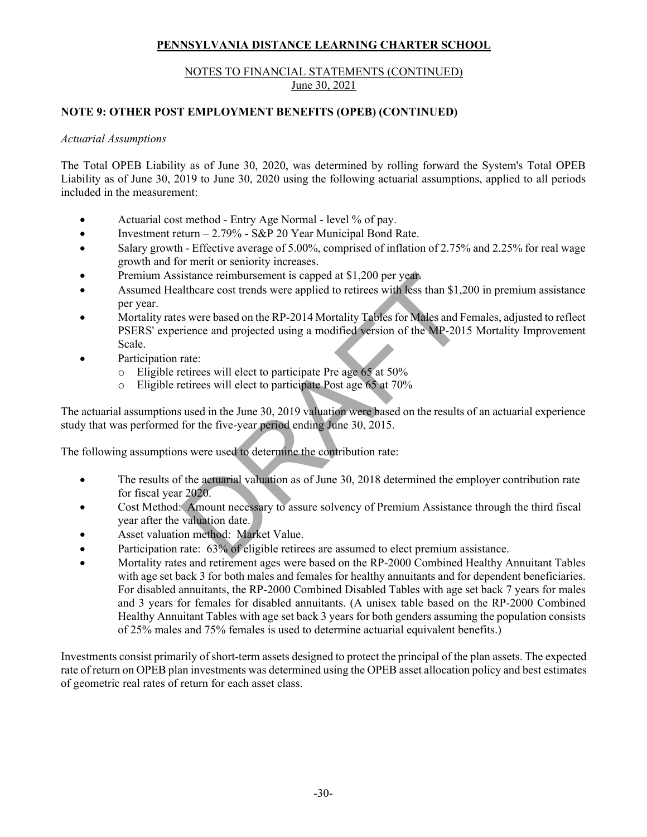# NOTES TO FINANCIAL STATEMENTS (CONTINUED) June 30, 2021

# **NOTE 9: OTHER POST EMPLOYMENT BENEFITS (OPEB) (CONTINUED)**

#### *Actuarial Assumptions*

The Total OPEB Liability as of June 30, 2020, was determined by rolling forward the System's Total OPEB Liability as of June 30, 2019 to June 30, 2020 using the following actuarial assumptions, applied to all periods included in the measurement:

- Actuarial cost method Entry Age Normal level % of pay.
- Investment return  $-2.79\%$  S&P 20 Year Municipal Bond Rate.
- Salary growth Effective average of 5.00%, comprised of inflation of 2.75% and 2.25% for real wage growth and for merit or seniority increases.
- Premium Assistance reimbursement is capped at \$1,200 per year.
- Assumed Healthcare cost trends were applied to retirees with less than \$1,200 in premium assistance per year.
- istance reimbursement is capped at \$1,200 per year.<br>
althcare cost trends were applied to retirees with less than \$1,2<br>
s were based on the RP-2014 Mortality Tables for Males and F<br>
rience and projected using a modified ve Mortality rates were based on the RP-2014 Mortality Tables for Males and Females, adjusted to reflect PSERS' experience and projected using a modified version of the MP-2015 Mortality Improvement Scale.
- Participation rate:
	- o Eligible retirees will elect to participate Pre age 65 at 50%
	- o Eligible retirees will elect to participate Post age 65 at 70%

The actuarial assumptions used in the June 30, 2019 valuation were based on the results of an actuarial experience study that was performed for the five-year period ending June 30, 2015.

The following assumptions were used to determine the contribution rate:

- The results of the actuarial valuation as of June 30, 2018 determined the employer contribution rate for fiscal year 2020.
- Cost Method: Amount necessary to assure solvency of Premium Assistance through the third fiscal year after the valuation date.
- Asset valuation method: Market Value.
- Participation rate: 63% of eligible retirees are assumed to elect premium assistance.
- Mortality rates and retirement ages were based on the RP-2000 Combined Healthy Annuitant Tables with age set back 3 for both males and females for healthy annuitants and for dependent beneficiaries. For disabled annuitants, the RP-2000 Combined Disabled Tables with age set back 7 years for males and 3 years for females for disabled annuitants. (A unisex table based on the RP-2000 Combined Healthy Annuitant Tables with age set back 3 years for both genders assuming the population consists of 25% males and 75% females is used to determine actuarial equivalent benefits.)

Investments consist primarily of short-term assets designed to protect the principal of the plan assets. The expected rate of return on OPEB plan investments was determined using the OPEB asset allocation policy and best estimates of geometric real rates of return for each asset class.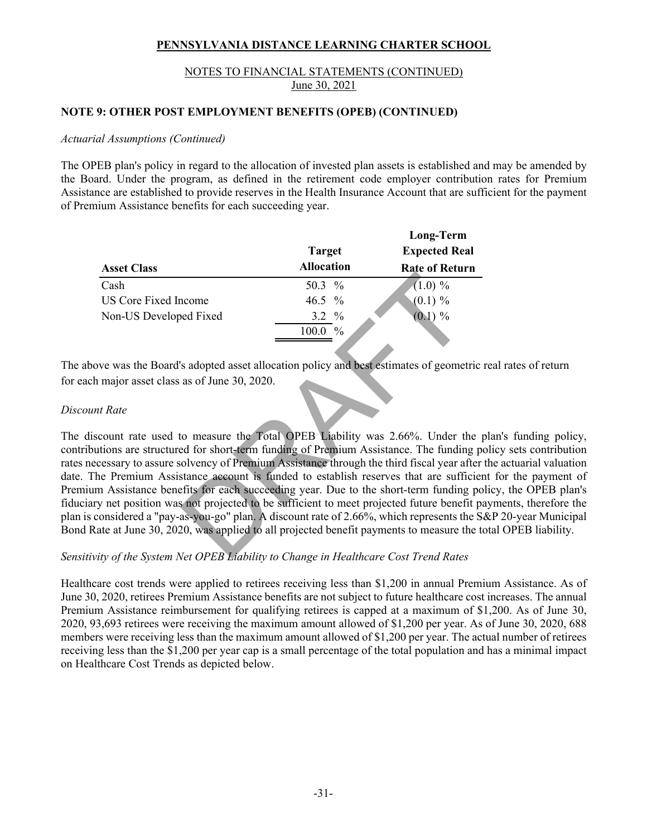#### NOTES TO FINANCIAL STATEMENTS (CONTINUED) June 30, 2021

#### **NOTE 9: OTHER POST EMPLOYMENT BENEFITS (OPEB) (CONTINUED)**

#### *Actuarial Assumptions (Continued)*

The OPEB plan's policy in regard to the allocation of invested plan assets is established and may be amended by the Board. Under the program, as defined in the retirement code employer contribution rates for Premium Assistance are established to provide reserves in the Health Insurance Account that are sufficient for the payment of Premium Assistance benefits for each succeeding year.

| <b>Asset Class</b>     | <b>Target</b><br><b>Allocation</b> | Long-Term<br><b>Expected Real</b><br><b>Rate of Return</b> |
|------------------------|------------------------------------|------------------------------------------------------------|
| Cash                   | 50.3 %                             | $(1.0) \%$                                                 |
| US Core Fixed Income   | $46.5\%$                           | $(0.1) \%$                                                 |
| Non-US Developed Fixed | 3.2 $%$                            | $\frac{9}{6}$                                              |
|                        | $^{0/0}$                           |                                                            |

The above was the Board's adopted asset allocation policy and best estimates of geometric real rates of return for each major asset class as of June 30, 2020.

#### *Discount Rate*

50.3 % (1.0) %<br>
and Fixed  $\frac{3.2}{100.0}$  % (0.1) %<br>
and Fixed  $\frac{3.2}{100.0}$  % (0.1) %<br>
bed Fixed  $\frac{3.2}{100.0}$  %<br>
sadopted asset allocation policy and best estimates of geomet<br>
as of June 30, 2020.<br>
between the Total The discount rate used to measure the Total OPEB Liability was 2.66%. Under the plan's funding policy, contributions are structured for short-term funding of Premium Assistance. The funding policy sets contribution rates necessary to assure solvency of Premium Assistance through the third fiscal year after the actuarial valuation date. The Premium Assistance account is funded to establish reserves that are sufficient for the payment of Premium Assistance benefits for each succeeding year. Due to the short-term funding policy, the OPEB plan's fiduciary net position was not projected to be sufficient to meet projected future benefit payments, therefore the plan is considered a "pay-as-you-go" plan. A discount rate of 2.66%, which represents the S&P 20-year Municipal Bond Rate at June 30, 2020, was applied to all projected benefit payments to measure the total OPEB liability.

#### *Sensitivity of the System Net OPEB Liability to Change in Healthcare Cost Trend Rates*

Healthcare cost trends were applied to retirees receiving less than \$1,200 in annual Premium Assistance. As of June 30, 2020, retirees Premium Assistance benefits are not subject to future healthcare cost increases. The annual Premium Assistance reimbursement for qualifying retirees is capped at a maximum of \$1,200. As of June 30, 2020, 93,693 retirees were receiving the maximum amount allowed of \$1,200 per year. As of June 30, 2020, 688 members were receiving less than the maximum amount allowed of \$1,200 per year. The actual number of retirees receiving less than the \$1,200 per year cap is a small percentage of the total population and has a minimal impact on Healthcare Cost Trends as depicted below.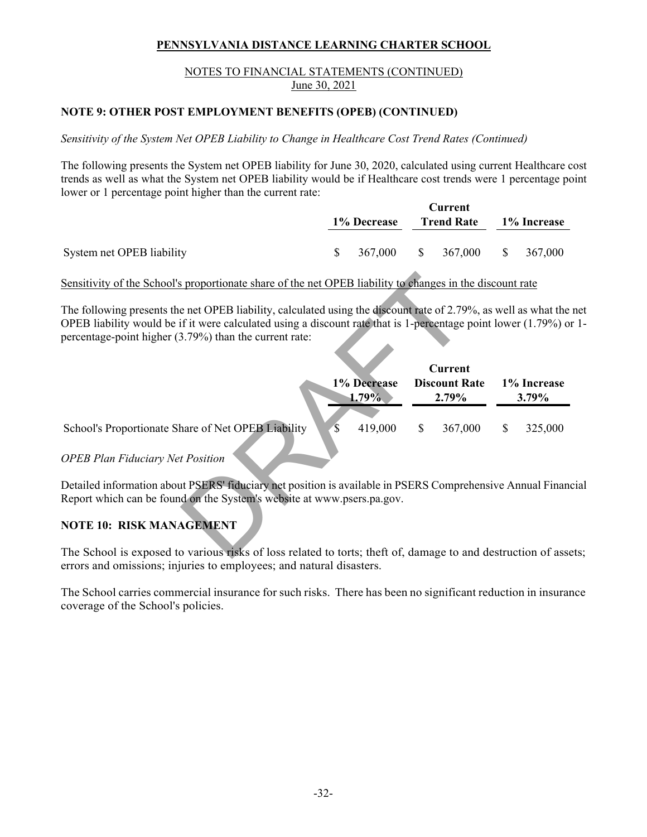# NOTES TO FINANCIAL STATEMENTS (CONTINUED) June 30, 2021

# **NOTE 9: OTHER POST EMPLOYMENT BENEFITS (OPEB) (CONTINUED)**

*Sensitivity of the System Net OPEB Liability to Change in Healthcare Cost Trend Rates (Continued)* 

The following presents the System net OPEB liability for June 30, 2020, calculated using current Healthcare cost trends as well as what the System net OPEB liability would be if Healthcare cost trends were 1 percentage point lower or 1 percentage point higher than the current rate:

|                           | Current |                                    |  |                               |  |  |
|---------------------------|---------|------------------------------------|--|-------------------------------|--|--|
|                           |         | 1% Decrease                        |  | <b>Trend Rate 1% Increase</b> |  |  |
| System net OPEB liability |         | $$367,000 \quad $367,000 \quad $8$ |  |                               |  |  |

| Sensitivity of the School's proportionate share of the net OPEB liability to changes in the discount rate                                                                                                                                                                                        |                         |                               |   |                         |
|--------------------------------------------------------------------------------------------------------------------------------------------------------------------------------------------------------------------------------------------------------------------------------------------------|-------------------------|-------------------------------|---|-------------------------|
| The following presents the net OPEB liability, calculated using the discount rate of 2.79%, as well as what the<br>OPEB liability would be if it were calculated using a discount rate that is 1-percentage point lower $(1.79%)$ or<br>percentage-point higher $(3.79%)$ than the current rate: |                         |                               |   |                         |
|                                                                                                                                                                                                                                                                                                  |                         | Current                       |   |                         |
|                                                                                                                                                                                                                                                                                                  | 1% Decrease<br>$1.79\%$ | <b>Discount Rate</b><br>2.79% |   | 1% Increase<br>$3.79\%$ |
| School's Proportionate Share of Net OPEB Liability                                                                                                                                                                                                                                               | 419,000<br>S            | \$<br>367,000                 | S | 325,000                 |
| <b>OPEB Plan Fiduciary Net Position</b>                                                                                                                                                                                                                                                          |                         |                               |   |                         |
| Detailed information about PSERS' fiduciary net position is available in PSERS Comprehensive Annual Finance                                                                                                                                                                                      |                         |                               |   |                         |
| Report which can be found on the System's website at www.psers.pa.gov.                                                                                                                                                                                                                           |                         |                               |   |                         |
| <b>NOTE 10: RISK MANAGEMENT</b>                                                                                                                                                                                                                                                                  |                         |                               |   |                         |
| The School is exposed to various risks of loss related to torts; theft of, damage to and destruction of asset                                                                                                                                                                                    |                         |                               |   |                         |

# **NOTE 10: RISK MANAGEMENT**

The School is exposed to various risks of loss related to torts; theft of, damage to and destruction of assets; errors and omissions; injuries to employees; and natural disasters.

The School carries commercial insurance for such risks. There has been no significant reduction in insurance coverage of the School's policies.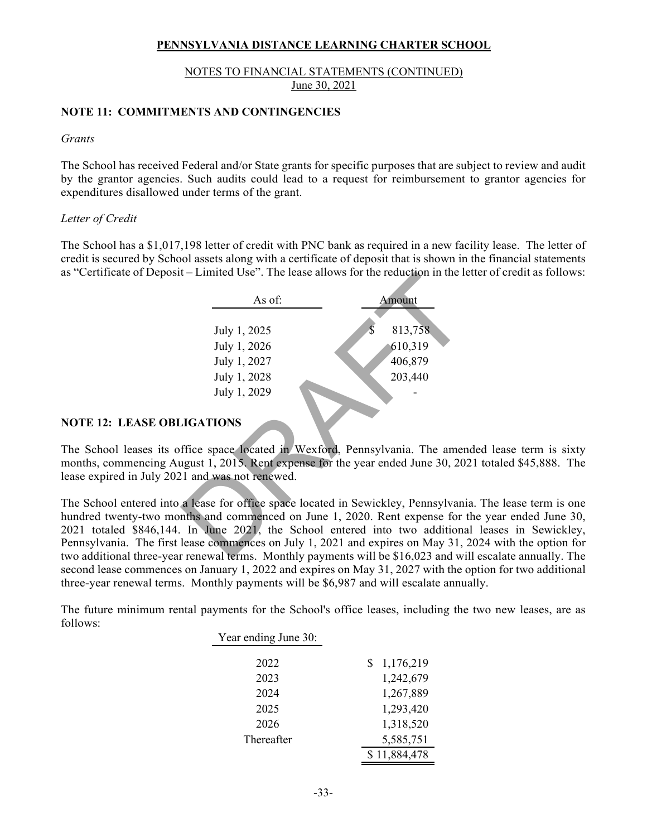#### NOTES TO FINANCIAL STATEMENTS (CONTINUED) June 30, 2021

#### **NOTE 11: COMMITMENTS AND CONTINGENCIES**

#### *Grants*

The School has received Federal and/or State grants for specific purposes that are subject to review and audit by the grantor agencies. Such audits could lead to a request for reimbursement to grantor agencies for expenditures disallowed under terms of the grant.

#### *Letter of Credit*

The School has a \$1,017,198 letter of credit with PNC bank as required in a new facility lease. The letter of credit is secured by School assets along with a certificate of deposit that is shown in the financial statements as "Certificate of Deposit – Limited Use". The lease allows for the reduction in the letter of credit as follows:

| $t$ – Limited Use $\cdot$ . The lease allows for the reduction in the R                                                                                                                                                              |         |
|--------------------------------------------------------------------------------------------------------------------------------------------------------------------------------------------------------------------------------------|---------|
| As of:                                                                                                                                                                                                                               | Amount  |
|                                                                                                                                                                                                                                      |         |
| July 1, 2025                                                                                                                                                                                                                         | 813,758 |
| July 1, 2026                                                                                                                                                                                                                         | 610,319 |
| July 1, 2027                                                                                                                                                                                                                         | 406,879 |
| July 1, 2028                                                                                                                                                                                                                         | 203,440 |
| July 1, 2029                                                                                                                                                                                                                         |         |
| <b>IGATIONS</b>                                                                                                                                                                                                                      |         |
| ffice space located in Wexford, Pennsylvania. The amen<br>ugust 1, 2015. Rent expense for the year ended June 30, 20.                                                                                                                |         |
| 1 and was not renewed.                                                                                                                                                                                                               |         |
| a lease for office space located in Sewickley, Pennsylvani<br>nths and commenced on June 1, 2020. Rent expense for<br>In June 2021, the School entered into two additional<br>lease commences on July 1, 2021 and expires on May 31, |         |
| r renewal terms. Monthly payments will be \$16,023 and wi                                                                                                                                                                            |         |

#### **NOTE 12: LEASE OBLIGATIONS**

The School leases its office space located in Wexford, Pennsylvania. The amended lease term is sixty months, commencing August 1, 2015. Rent expense for the year ended June 30, 2021 totaled \$45,888. The lease expired in July 2021 and was not renewed.

The School entered into a lease for office space located in Sewickley, Pennsylvania. The lease term is one hundred twenty-two months and commenced on June 1, 2020. Rent expense for the year ended June 30, 2021 totaled \$846,144. In June 2021, the School entered into two additional leases in Sewickley, Pennsylvania. The first lease commences on July 1, 2021 and expires on May 31, 2024 with the option for two additional three-year renewal terms. Monthly payments will be \$16,023 and will escalate annually. The second lease commences on January 1, 2022 and expires on May 31, 2027 with the option for two additional three-year renewal terms. Monthly payments will be \$6,987 and will escalate annually.

The future minimum rental payments for the School's office leases, including the two new leases, are as follows:

| Year ending June 30: |                 |
|----------------------|-----------------|
|                      |                 |
| 2022                 | \$<br>1,176,219 |
| 2023                 | 1,242,679       |
| 2024                 | 1,267,889       |
| 2025                 | 1,293,420       |
| 2026                 | 1,318,520       |
| Thereafter           | 5,585,751       |
|                      | \$11,884,478    |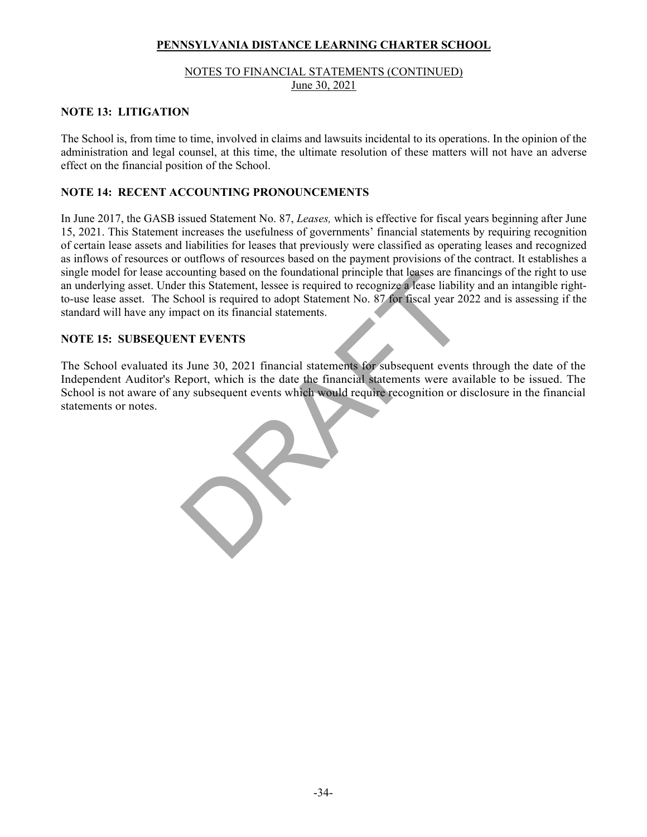#### NOTES TO FINANCIAL STATEMENTS (CONTINUED) June 30, 2021

#### **NOTE 13: LITIGATION**

The School is, from time to time, involved in claims and lawsuits incidental to its operations. In the opinion of the administration and legal counsel, at this time, the ultimate resolution of these matters will not have an adverse effect on the financial position of the School.

#### **NOTE 14: RECENT ACCOUNTING PRONOUNCEMENTS**

In June 2017, the GASB issued Statement No. 87, *Leases,* which is effective for fiscal years beginning after June 15, 2021. This Statement increases the usefulness of governments' financial statements by requiring recognition of certain lease assets and liabilities for leases that previously were classified as operating leases and recognized as inflows of resources or outflows of resources based on the payment provisions of the contract. It establishes a single model for lease accounting based on the foundational principle that leases are financings of the right to use an underlying asset. Under this Statement, lessee is required to recognize a lease liability and an intangible rightto-use lease asset. The School is required to adopt Statement No. 87 for fiscal year 2022 and is assessing if the standard will have any impact on its financial statements.

#### **NOTE 15: SUBSEQUENT EVENTS**

The School evaluated its June 30, 2021 financial statements for subsequent events through the date of the Independent Auditor's Report, which is the date the financial statements were available to be issued. The School is not aware of any subsequent events which would require recognition or disclosure in the financial statements or notes.

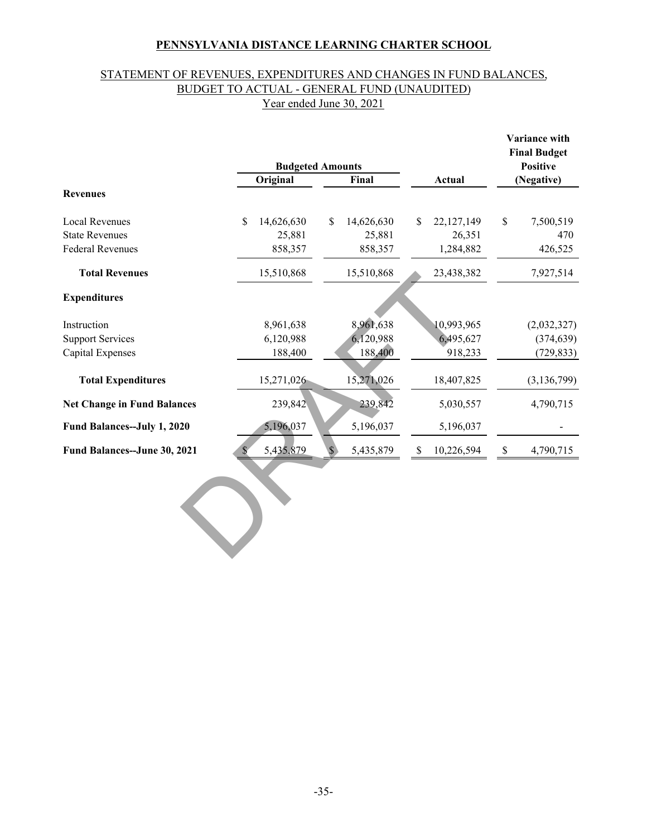# STATEMENT OF REVENUES, EXPENDITURES AND CHANGES IN FUND BALANCES, BUDGET TO ACTUAL - GENERAL FUND (UNAUDITED) Year ended June 30, 2021

|                                    | <b>Budgeted Amounts</b> |                  |                  | Variance with<br><b>Final Budget</b><br><b>Positive</b> |  |  |
|------------------------------------|-------------------------|------------------|------------------|---------------------------------------------------------|--|--|
|                                    | Original                | Final            | <b>Actual</b>    | (Negative)                                              |  |  |
| <b>Revenues</b>                    |                         |                  |                  |                                                         |  |  |
| <b>Local Revenues</b>              | \$<br>14,626,630        | 14,626,630<br>\$ | \$<br>22,127,149 | $\$$<br>7,500,519                                       |  |  |
| <b>State Revenues</b>              | 25,881                  | 25,881           | 26,351           | 470                                                     |  |  |
| <b>Federal Revenues</b>            | 858,357                 | 858,357          | 1,284,882        | 426,525                                                 |  |  |
| <b>Total Revenues</b>              | 15,510,868              | 15,510,868       | 23,438,382       | 7,927,514                                               |  |  |
| <b>Expenditures</b>                |                         |                  |                  |                                                         |  |  |
| Instruction                        | 8,961,638               | 8,961,638        | 10,993,965       | (2,032,327)                                             |  |  |
| <b>Support Services</b>            | 6,120,988               | 6,120,988        | 6,495,627        | (374, 639)                                              |  |  |
| Capital Expenses                   | 188,400                 | 188,400          | 918,233          | (729, 833)                                              |  |  |
| <b>Total Expenditures</b>          | 15,271,026              | 15,271,026       | 18,407,825       | (3, 136, 799)                                           |  |  |
| <b>Net Change in Fund Balances</b> | 239,842                 | 239,842          | 5,030,557        | 4,790,715                                               |  |  |
| Fund Balances--July 1, 2020        | 5,196,037               | 5,196,037        | 5,196,037        |                                                         |  |  |
| Fund Balances--June 30, 2021       | 5,435,879<br>S          | 5,435,879        | 10,226,594<br>\$ | $\$$<br>4,790,715                                       |  |  |
|                                    |                         |                  |                  |                                                         |  |  |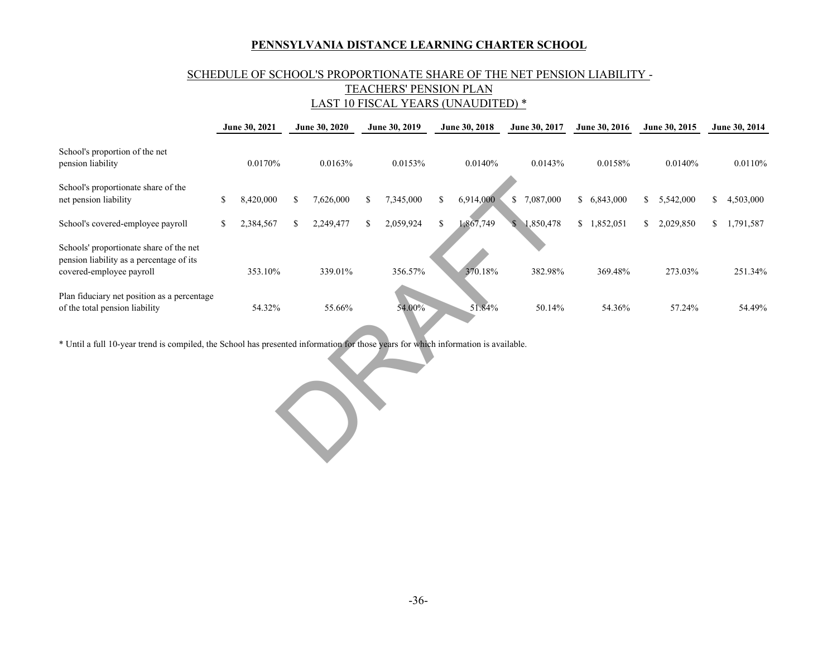# TEACHERS' PENSION PLAN LAST 10 FISCAL YEARS (UNAUDITED) \*

|                                                                                                                                    |                 |    |               |    |                                    |              |               | PENNSYLVANIA DISTANCE LEARNING CHARTER SCHOOL                           |               |                 |                 |
|------------------------------------------------------------------------------------------------------------------------------------|-----------------|----|---------------|----|------------------------------------|--------------|---------------|-------------------------------------------------------------------------|---------------|-----------------|-----------------|
|                                                                                                                                    |                 |    |               |    |                                    |              |               | SCHEDULE OF SCHOOL'S PROPORTIONATE SHARE OF THE NET PENSION LIABILITY - |               |                 |                 |
|                                                                                                                                    |                 |    |               |    | <b>TEACHERS' PENSION PLAN</b>      |              |               |                                                                         |               |                 |                 |
|                                                                                                                                    |                 |    |               |    | LAST 10 FISCAL YEARS (UNAUDITED) * |              |               |                                                                         |               |                 |                 |
|                                                                                                                                    | June 30, 2021   |    | June 30, 2020 |    | June 30, 2019                      |              | June 30, 2018 | June 30, 2017                                                           | June 30, 2016 | June 30, 2015   | June 30, 2014   |
| School's proportion of the net<br>pension liability                                                                                | 0.0170%         |    | 0.0163%       |    | 0.0153%                            |              | 0.0140%       | 0.0143%                                                                 | 0.0158%       | 0.0140%         | 0.0110%         |
|                                                                                                                                    |                 |    |               |    |                                    |              |               |                                                                         |               |                 |                 |
| School's proportionate share of the<br>net pension liability                                                                       | \$<br>8,420,000 | S. | 7,626,000     | S  | 7,345,000                          | \$           | 6,914,000     | \$7,087,000                                                             | \$6,843,000   | 5,542,000<br>S. | \$<br>4,503,000 |
| School's covered-employee payroll                                                                                                  | \$<br>2,384,567 | \$ | 2,249,477     | \$ | 2,059,924                          | $\mathbb{S}$ | 1,867,749     | 1,850,478                                                               | \$1,852,051   | \$2,029,850     | \$<br>1,791,587 |
| Schools' proportionate share of the net<br>pension liability as a percentage of its                                                |                 |    |               |    |                                    |              |               |                                                                         |               |                 |                 |
| covered-employee payroll                                                                                                           | 353.10%         |    | 339.01%       |    | 356.57%                            |              | 370.18%       | 382.98%                                                                 | 369.48%       | 273.03%         | 251.34%         |
| Plan fiduciary net position as a percentage<br>of the total pension liability                                                      | 54.32%          |    | 55.66%        |    | 54.00%                             |              | 51.84%        | 50.14%                                                                  | 54.36%        | 57.24%          | 54.49%          |
| * Until a full 10-year trend is compiled, the School has presented information for those years for which information is available. |                 |    |               |    |                                    |              |               |                                                                         |               |                 |                 |
|                                                                                                                                    |                 |    |               |    |                                    |              |               |                                                                         |               |                 |                 |
|                                                                                                                                    |                 |    |               |    |                                    |              |               |                                                                         |               |                 |                 |
|                                                                                                                                    |                 |    |               |    |                                    |              |               |                                                                         |               |                 |                 |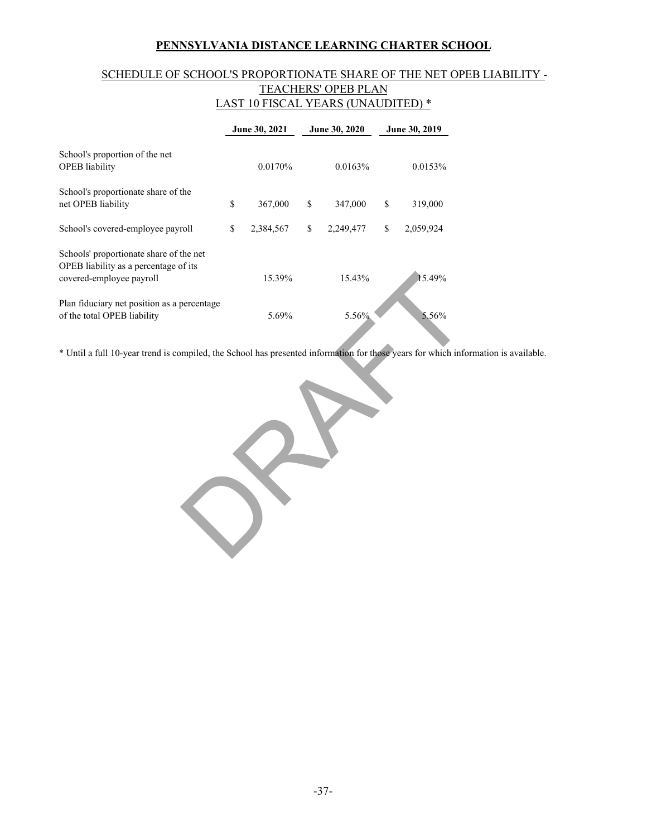# SCHEDULE OF SCHOOL'S PROPORTIONATE SHARE OF THE NET OPEB LIABILITY - TEACHERS' OPEB PLAN LAST 10 FISCAL YEARS (UNAUDITED) \*

|                                                                                                              | June 30, 2021 |           | June 30, 2020   | June 30, 2019 |           |  |
|--------------------------------------------------------------------------------------------------------------|---------------|-----------|-----------------|---------------|-----------|--|
| School's proportion of the net<br><b>OPEB</b> liability                                                      |               | 0.0170%   | 0.0163%         |               | 0.0153%   |  |
| School's proportionate share of the<br>net OPEB liability                                                    | \$            | 367,000   | \$<br>347,000   | \$            | 319,000   |  |
| School's covered-employee payroll                                                                            | \$            | 2,384,567 | \$<br>2,249,477 | \$            | 2,059,924 |  |
| Schools' proportionate share of the net<br>OPEB liability as a percentage of its<br>covered-employee payroll |               | 15.39%    | 15.43%          |               | 15.49%    |  |
| Plan fiduciary net position as a percentage<br>of the total OPEB liability                                   |               | 5.69%     | 5.56%           |               | 5.56%     |  |

\* Until a full 10-year trend is compiled, the School has presented information for those years for which information is available.

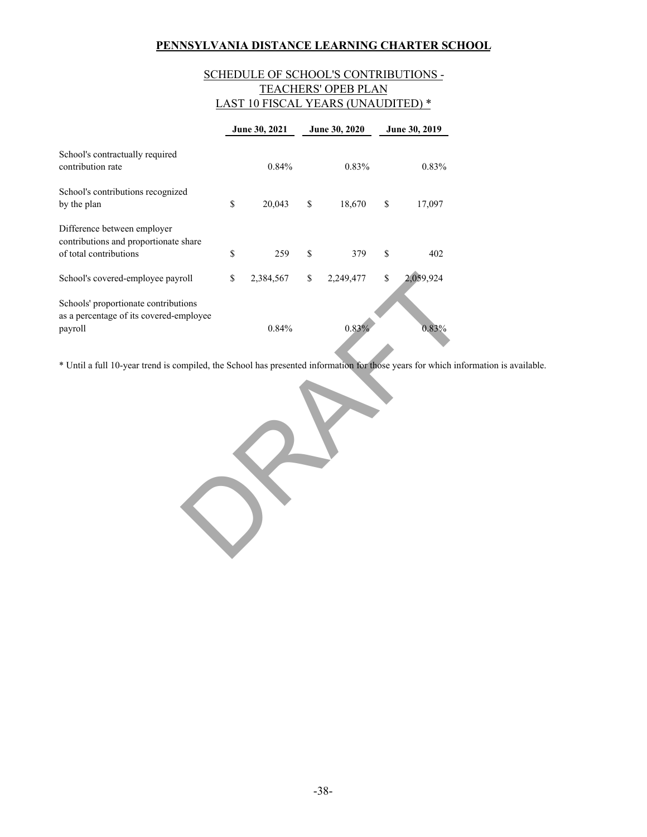# SCHEDULE OF SCHOOL'S CONTRIBUTIONS - TEACHERS' OPEB PLAN LAST 10 FISCAL YEARS (UNAUDITED) \*

|                                                                                                | June 30, 2021   |    | June 30, 2020 | June 30, 2019   |
|------------------------------------------------------------------------------------------------|-----------------|----|---------------|-----------------|
| School's contractually required<br>contribution rate                                           | 0.84%           |    | $0.83\%$      | $0.83\%$        |
| School's contributions recognized<br>by the plan                                               | \$<br>20,043    | S  | 18,670        | \$<br>17,097    |
| Difference between employer<br>contributions and proportionate share<br>of total contributions | \$<br>259       | \$ | 379           | \$<br>402       |
| School's covered-employee payroll                                                              | \$<br>2,384,567 | \$ | 2,249,477     | \$<br>2,059,924 |
| Schools' proportionate contributions<br>as a percentage of its covered-employee<br>payroll     | 0.84%           |    | 0.83%         | 0.83%           |

\* Until a full 10-year trend is compiled, the School has presented information for those years for which information is available.

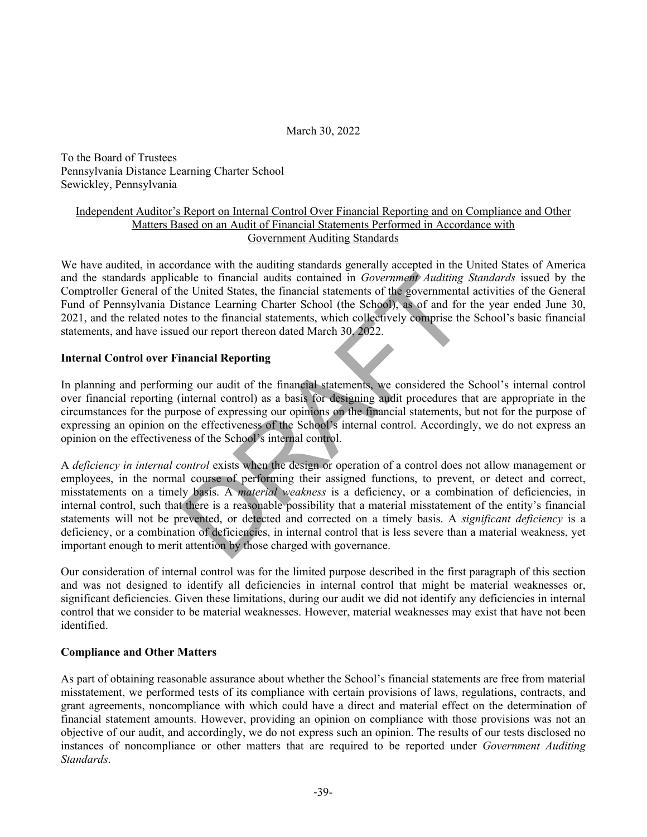#### March 30, 2022

To the Board of Trustees Pennsylvania Distance Learning Charter School Sewickley, Pennsylvania

#### Independent Auditor's Report on Internal Control Over Financial Reporting and on Compliance and Other Matters Based on an Audit of Financial Statements Performed in Accordance with Government Auditing Standards

We have audited, in accordance with the auditing standards generally accepted in the United States of America and the standards applicable to financial audits contained in *Government Auditing Standards* issued by the Comptroller General of the United States, the financial statements of the governmental activities of the General Fund of Pennsylvania Distance Learning Charter School (the School), as of and for the year ended June 30, 2021, and the related notes to the financial statements, which collectively comprise the School's basic financial statements, and have issued our report thereon dated March 30, 2022.

#### **Internal Control over Financial Reporting**

In planning and performing our audit of the financial statements, we considered the School's internal control over financial reporting (internal control) as a basis for designing audit procedures that are appropriate in the circumstances for the purpose of expressing our opinions on the financial statements, but not for the purpose of expressing an opinion on the effectiveness of the School's internal control. Accordingly, we do not express an opinion on the effectiveness of the School's internal control.

able to financial audits contained in *Government Auditing*<br>the United States, the financial statements of the governmental<br>stance Learning Charter School (the School), as of and for<br>s to the financial statements, which co A *deficiency in internal control* exists when the design or operation of a control does not allow management or employees, in the normal course of performing their assigned functions, to prevent, or detect and correct, misstatements on a timely basis. A *material weakness* is a deficiency, or a combination of deficiencies, in internal control, such that there is a reasonable possibility that a material misstatement of the entity's financial statements will not be prevented, or detected and corrected on a timely basis. A *significant deficiency* is a deficiency, or a combination of deficiencies, in internal control that is less severe than a material weakness, yet important enough to merit attention by those charged with governance.

Our consideration of internal control was for the limited purpose described in the first paragraph of this section and was not designed to identify all deficiencies in internal control that might be material weaknesses or, significant deficiencies. Given these limitations, during our audit we did not identify any deficiencies in internal control that we consider to be material weaknesses. However, material weaknesses may exist that have not been identified.

#### **Compliance and Other Matters**

As part of obtaining reasonable assurance about whether the School's financial statements are free from material misstatement, we performed tests of its compliance with certain provisions of laws, regulations, contracts, and grant agreements, noncompliance with which could have a direct and material effect on the determination of financial statement amounts. However, providing an opinion on compliance with those provisions was not an objective of our audit, and accordingly, we do not express such an opinion. The results of our tests disclosed no instances of noncompliance or other matters that are required to be reported under *Government Auditing Standards*.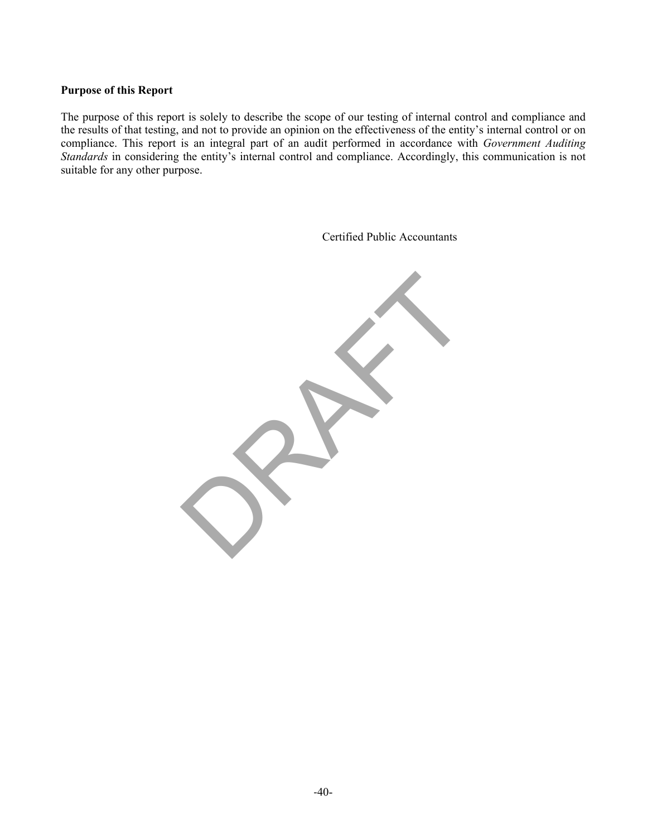#### **Purpose of this Report**

The purpose of this report is solely to describe the scope of our testing of internal control and compliance and the results of that testing, and not to provide an opinion on the effectiveness of the entity's internal control or on compliance. This report is an integral part of an audit performed in accordance with *Government Auditing Standards* in considering the entity's internal control and compliance. Accordingly, this communication is not suitable for any other purpose.

Certified Public Accountants

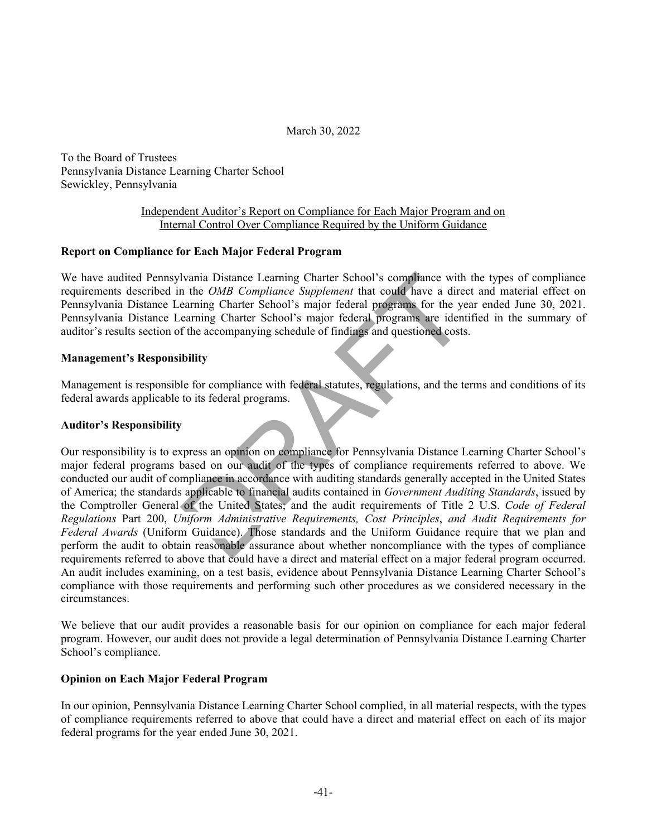#### March 30, 2022

To the Board of Trustees Pennsylvania Distance Learning Charter School Sewickley, Pennsylvania

#### Independent Auditor's Report on Compliance for Each Major Program and on Internal Control Over Compliance Required by the Uniform Guidance

#### **Report on Compliance for Each Major Federal Program**

We have audited Pennsylvania Distance Learning Charter School's compliance with the types of compliance requirements described in the *OMB Compliance Supplement* that could have a direct and material effect on Pennsylvania Distance Learning Charter School's major federal programs for the year ended June 30, 2021. Pennsylvania Distance Learning Charter School's major federal programs are identified in the summary of auditor's results section of the accompanying schedule of findings and questioned costs.

#### **Management's Responsibility**

Management is responsible for compliance with federal statutes, regulations, and the terms and conditions of its federal awards applicable to its federal programs.

#### **Auditor's Responsibility**

Ivania Distance Learning Charter School's compliance with<br>
in the *OMB Compliance Supplement* that could have a direct<br>
earning Charter School's major federal programs for the ye<br>
earning Charter School's major federal pro Our responsibility is to express an opinion on compliance for Pennsylvania Distance Learning Charter School's major federal programs based on our audit of the types of compliance requirements referred to above. We conducted our audit of compliance in accordance with auditing standards generally accepted in the United States of America; the standards applicable to financial audits contained in *Government Auditing Standards*, issued by the Comptroller General of the United States; and the audit requirements of Title 2 U.S. *Code of Federal Regulations* Part 200, *Uniform Administrative Requirements, Cost Principles*, *and Audit Requirements for Federal Awards* (Uniform Guidance). Those standards and the Uniform Guidance require that we plan and perform the audit to obtain reasonable assurance about whether noncompliance with the types of compliance requirements referred to above that could have a direct and material effect on a major federal program occurred. An audit includes examining, on a test basis, evidence about Pennsylvania Distance Learning Charter School's compliance with those requirements and performing such other procedures as we considered necessary in the circumstances.

We believe that our audit provides a reasonable basis for our opinion on compliance for each major federal program. However, our audit does not provide a legal determination of Pennsylvania Distance Learning Charter School's compliance.

#### **Opinion on Each Major Federal Program**

In our opinion, Pennsylvania Distance Learning Charter School complied, in all material respects, with the types of compliance requirements referred to above that could have a direct and material effect on each of its major federal programs for the year ended June 30, 2021.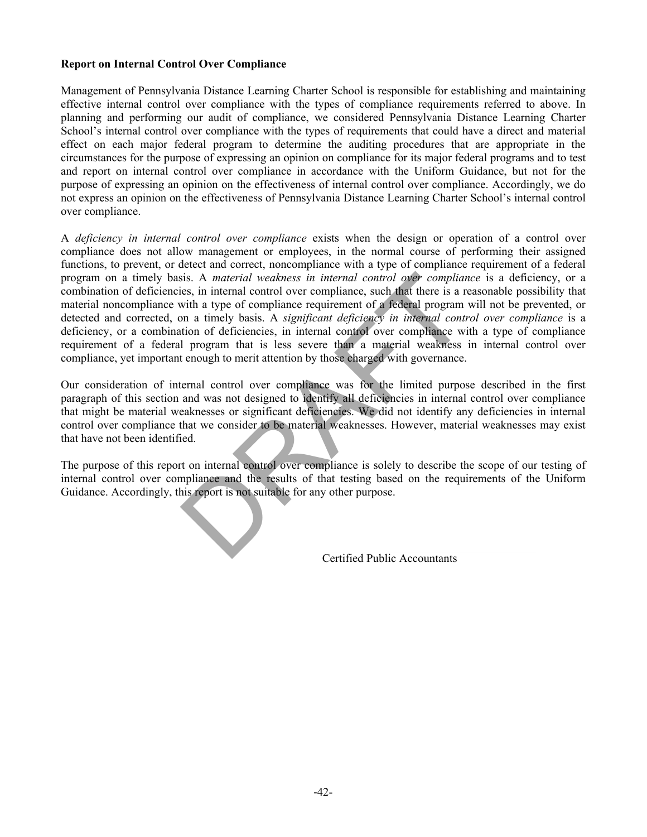#### **Report on Internal Control Over Compliance**

Management of Pennsylvania Distance Learning Charter School is responsible for establishing and maintaining effective internal control over compliance with the types of compliance requirements referred to above. In planning and performing our audit of compliance, we considered Pennsylvania Distance Learning Charter School's internal control over compliance with the types of requirements that could have a direct and material effect on each major federal program to determine the auditing procedures that are appropriate in the circumstances for the purpose of expressing an opinion on compliance for its major federal programs and to test and report on internal control over compliance in accordance with the Uniform Guidance, but not for the purpose of expressing an opinion on the effectiveness of internal control over compliance. Accordingly, we do not express an opinion on the effectiveness of Pennsylvania Distance Learning Charter School's internal control over compliance.

sis. A *material weakness in internal control over compliar*<br>eis, in internal control over compliance, such that there is a r<br>with a type of compliance requirement of a federal program<br>on a timely basis. A *significant def* A *deficiency in internal control over compliance* exists when the design or operation of a control over compliance does not allow management or employees, in the normal course of performing their assigned functions, to prevent, or detect and correct, noncompliance with a type of compliance requirement of a federal program on a timely basis. A *material weakness in internal control over compliance* is a deficiency, or a combination of deficiencies, in internal control over compliance, such that there is a reasonable possibility that material noncompliance with a type of compliance requirement of a federal program will not be prevented, or detected and corrected, on a timely basis. A *significant deficiency in internal control over compliance* is a deficiency, or a combination of deficiencies, in internal control over compliance with a type of compliance requirement of a federal program that is less severe than a material weakness in internal control over compliance, yet important enough to merit attention by those charged with governance.

Our consideration of internal control over compliance was for the limited purpose described in the first paragraph of this section and was not designed to identify all deficiencies in internal control over compliance that might be material weaknesses or significant deficiencies. We did not identify any deficiencies in internal control over compliance that we consider to be material weaknesses. However, material weaknesses may exist that have not been identified.

The purpose of this report on internal control over compliance is solely to describe the scope of our testing of internal control over compliance and the results of that testing based on the requirements of the Uniform Guidance. Accordingly, this report is not suitable for any other purpose.

Certified Public Accountants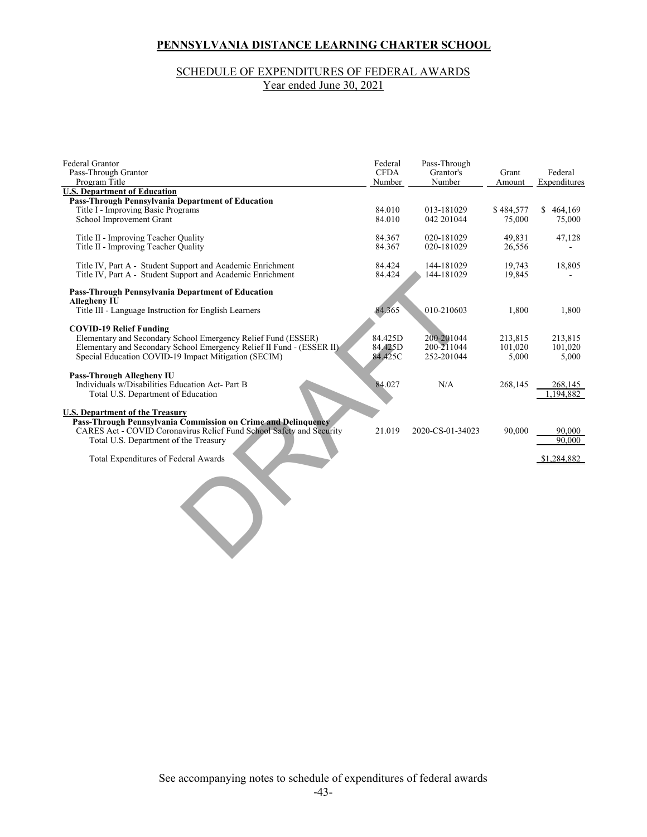# SCHEDULE OF EXPENDITURES OF FEDERAL AWARDS Year ended June 30, 2021

| Federal Grantor<br>Pass-Through Grantor<br>Program Title              | Federal<br><b>CFDA</b><br>Number | Pass-Through<br>Grantor's<br>Number | Grant<br>Amount | Federal<br>Expenditures |
|-----------------------------------------------------------------------|----------------------------------|-------------------------------------|-----------------|-------------------------|
| <b>U.S. Department of Education</b>                                   |                                  |                                     |                 |                         |
| <b>Pass-Through Pennsylvania Department of Education</b>              | 84.010                           | 013-181029                          | \$484,577       | 464,169<br>\$           |
| Title I - Improving Basic Programs<br>School Improvement Grant        | 84.010                           | 042 201044                          | 75,000          | 75,000                  |
|                                                                       |                                  |                                     |                 |                         |
| Title II - Improving Teacher Quality                                  | 84.367                           | 020-181029                          | 49,831          | 47,128                  |
| Title II - Improving Teacher Quality                                  | 84.367                           | 020-181029                          | 26,556          |                         |
|                                                                       |                                  |                                     |                 |                         |
| Title IV, Part A - Student Support and Academic Enrichment            | 84.424                           | 144-181029                          | 19,743          | 18,805                  |
| Title IV, Part A - Student Support and Academic Enrichment            | 84.424                           | 144-181029                          | 19,845          |                         |
|                                                                       |                                  |                                     |                 |                         |
| Pass-Through Pennsylvania Department of Education                     |                                  |                                     |                 |                         |
| Allegheny IU<br>Title III - Language Instruction for English Learners | 84.365                           | 010-210603                          | 1,800           |                         |
|                                                                       |                                  |                                     |                 | 1,800                   |
| <b>COVID-19 Relief Funding</b>                                        |                                  |                                     |                 |                         |
| Elementary and Secondary School Emergency Relief Fund (ESSER)         | 84.425D                          | 200-201044                          | 213,815         | 213,815                 |
| Elementary and Secondary School Emergency Relief II Fund - (ESSER II) | 84.425D                          | 200-211044                          | 101,020         | 101,020                 |
| Special Education COVID-19 Impact Mitigation (SECIM)                  | 84.425C                          | 252-201044                          | 5,000           | 5,000                   |
|                                                                       |                                  |                                     |                 |                         |
| Pass-Through Allegheny IU                                             |                                  |                                     |                 |                         |
| Individuals w/Disabilities Education Act- Part B                      | 84.027                           | N/A                                 | 268,145         | 268,145                 |
| Total U.S. Department of Education                                    |                                  |                                     |                 | .194.882                |
|                                                                       |                                  |                                     |                 |                         |
| <b>U.S. Department of the Treasury</b>                                |                                  |                                     |                 |                         |
| Pass-Through Pennsylvania Commission on Crime and Delinquency         |                                  |                                     |                 |                         |
| CARES Act - COVID Coronavirus Relief Fund School Safety and Security  | 21.019                           | 2020-CS-01-34023                    | 90,000          | 90,000                  |
| Total U.S. Department of the Treasury                                 |                                  |                                     |                 | 90,000                  |
| Total Expenditures of Federal Awards                                  |                                  |                                     |                 | \$1,284,882             |
|                                                                       |                                  |                                     |                 |                         |
|                                                                       |                                  |                                     |                 |                         |
|                                                                       |                                  |                                     |                 |                         |
|                                                                       |                                  |                                     |                 |                         |
|                                                                       |                                  |                                     |                 |                         |
|                                                                       |                                  |                                     |                 |                         |
|                                                                       |                                  |                                     |                 |                         |
|                                                                       |                                  |                                     |                 |                         |
|                                                                       |                                  |                                     |                 |                         |
|                                                                       |                                  |                                     |                 |                         |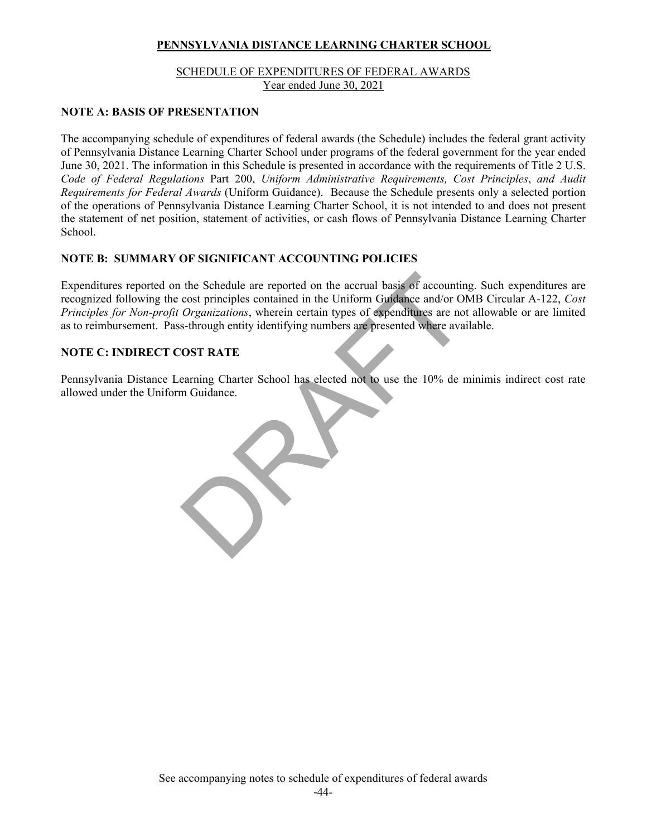# SCHEDULE OF EXPENDITURES OF FEDERAL AWARDS Year ended June 30, 2021

#### **NOTE A: BASIS OF PRESENTATION**

The accompanying schedule of expenditures of federal awards (the Schedule) includes the federal grant activity of Pennsylvania Distance Learning Charter School under programs of the federal government for the year ended June 30, 2021. The information in this Schedule is presented in accordance with the requirements of Title 2 U.S. *Code of Federal Regulations* Part 200, *Uniform Administrative Requirements, Cost Principles*, *and Audit Requirements for Federal Awards* (Uniform Guidance). Because the Schedule presents only a selected portion of the operations of Pennsylvania Distance Learning Charter School, it is not intended to and does not present the statement of net position, statement of activities, or cash flows of Pennsylvania Distance Learning Charter School.

#### **NOTE B: SUMMARY OF SIGNIFICANT ACCOUNTING POLICIES**

the Schedule are reported on the accrual basis of accountin<br>cost principles contained in the Uniform Guidance and/or Of<br>Organizations, wherein certain types of expenditures are not<br>s-through entity identifying numbers are Expenditures reported on the Schedule are reported on the accrual basis of accounting. Such expenditures are recognized following the cost principles contained in the Uniform Guidance and/or OMB Circular A-122, *Cost Principles for Non-profit Organizations*, wherein certain types of expenditures are not allowable or are limited as to reimbursement. Pass-through entity identifying numbers are presented where available.

#### **NOTE C: INDIRECT COST RATE**

Pennsylvania Distance Learning Charter School has elected not to use the 10% de minimis indirect cost rate allowed under the Uniform Guidance.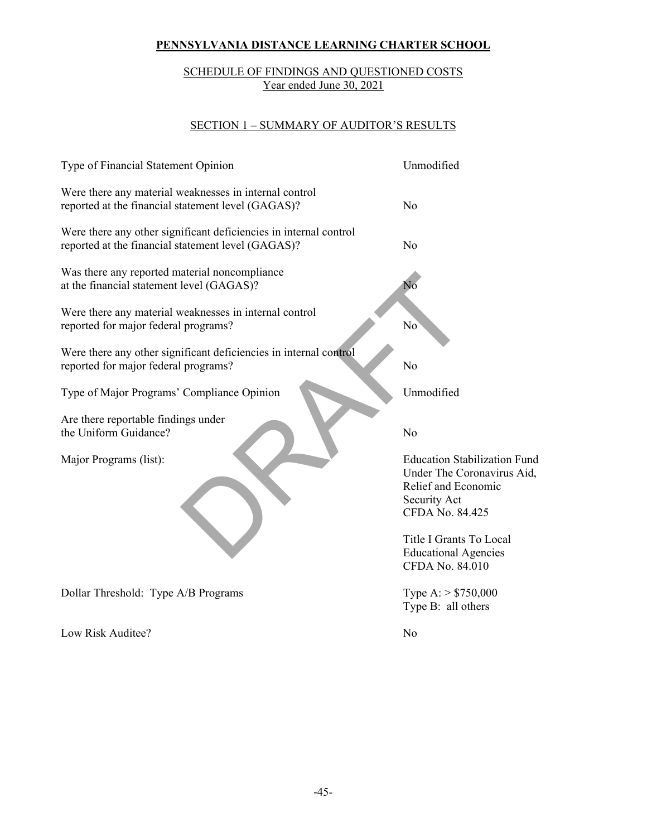# SCHEDULE OF FINDINGS AND QUESTIONED COSTS Year ended June 30, 2021

# SECTION 1 – SUMMARY OF AUDITOR'S RESULTS

| Type of Financial Statement Opinion                                                                                     | Unmodified                                                                |
|-------------------------------------------------------------------------------------------------------------------------|---------------------------------------------------------------------------|
| Were there any material weaknesses in internal control<br>reported at the financial statement level (GAGAS)?            | No                                                                        |
| Were there any other significant deficiencies in internal control<br>reported at the financial statement level (GAGAS)? | No                                                                        |
| Was there any reported material noncompliance<br>at the financial statement level (GAGAS)?                              | No                                                                        |
| Were there any material weaknesses in internal control<br>reported for major federal programs?                          | No                                                                        |
| Were there any other significant deficiencies in internal control<br>reported for major federal programs?               | No                                                                        |
| Type of Major Programs' Compliance Opinion                                                                              | Unmodified                                                                |
| Are there reportable findings under<br>the Uniform Guidance?<br>Major Programs (list):                                  | No<br><b>Education Stabilization Fund</b><br>Under The Coronavirus Aid,   |
|                                                                                                                         | Relief and Economic<br>Security Act<br>CFDA No. 84.425                    |
|                                                                                                                         | Title I Grants To Local<br><b>Educational Agencies</b><br>CFDA No. 84.010 |
| Dollar Threshold: Type A/B Programs                                                                                     | Type A: $> $750,000$<br>Type B: all others                                |
| Low Risk Auditee?                                                                                                       | No                                                                        |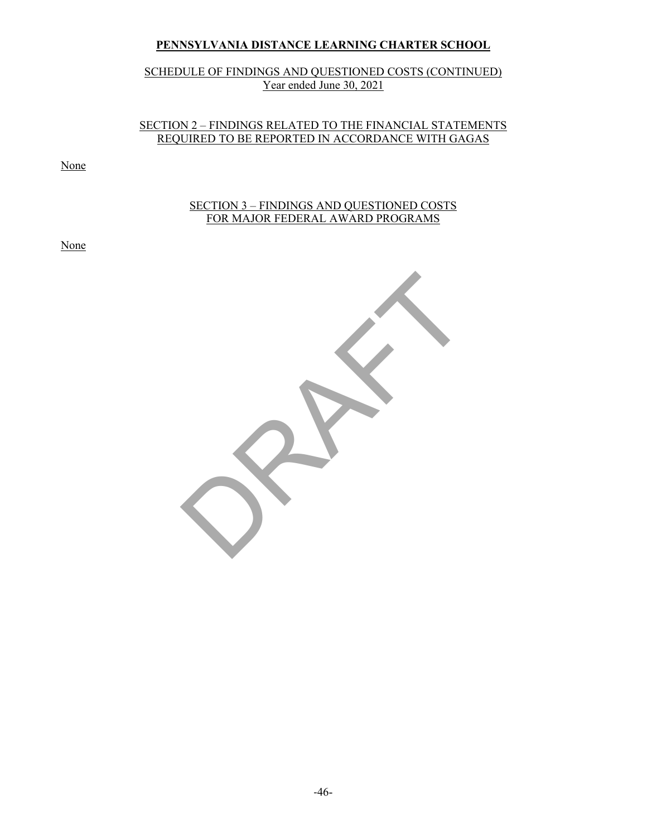SCHEDULE OF FINDINGS AND QUESTIONED COSTS (CONTINUED) Year ended June 30, 2021

# SECTION 2 – FINDINGS RELATED TO THE FINANCIAL STATEMENTS REQUIRED TO BE REPORTED IN ACCORDANCE WITH GAGAS

None

#### SECTION 3 – FINDINGS AND QUESTIONED COSTS FOR MAJOR FEDERAL AWARD PROGRAMS

None